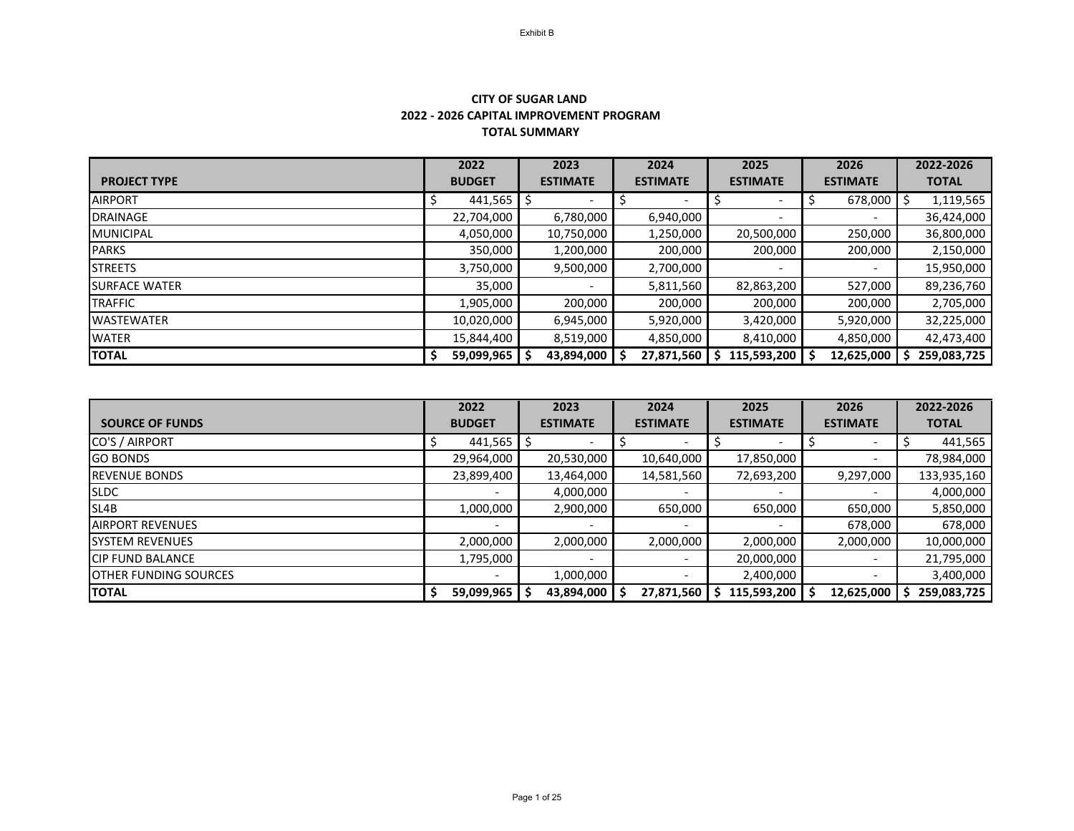## **TOTAL SUMMARY CITY OF SUGAR LAND 2022 - 2026 CAPITAL IMPROVEMENT PROGRAM**

|                      | 2022          | 2023            | 2024            | 2025            | 2026            | 2022-2026    |
|----------------------|---------------|-----------------|-----------------|-----------------|-----------------|--------------|
| <b>PROJECT TYPE</b>  | <b>BUDGET</b> | <b>ESTIMATE</b> | <b>ESTIMATE</b> | <b>ESTIMATE</b> | <b>ESTIMATE</b> | <b>TOTAL</b> |
| <b>AIRPORT</b>       | 441,565       |                 |                 |                 | 678,000         | 1,119,565    |
| <b>DRAINAGE</b>      | 22,704,000    | 6,780,000       | 6,940,000       |                 |                 | 36,424,000   |
| <b>MUNICIPAL</b>     | 4,050,000     | 10,750,000      | 1,250,000       | 20,500,000      | 250,000         | 36,800,000   |
| <b>PARKS</b>         | 350,000       | 1,200,000       | 200,000         | 200,000         | 200,000         | 2,150,000    |
| <b>STREETS</b>       | 3,750,000     | 9,500,000       | 2,700,000       |                 |                 | 15,950,000   |
| <b>SURFACE WATER</b> | 35,000        |                 | 5,811,560       | 82,863,200      | 527,000         | 89,236,760   |
| <b>TRAFFIC</b>       | 1,905,000     | 200,000         | 200,000         | 200,000         | 200,000         | 2,705,000    |
| <b>WASTEWATER</b>    | 10,020,000    | 6,945,000       | 5,920,000       | 3,420,000       | 5,920,000       | 32,225,000   |
| <b>WATER</b>         | 15,844,400    | 8,519,000       | 4,850,000       | 8,410,000       | 4,850,000       | 42,473,400   |
| <b>TOTAL</b>         | 59,099,965    | 43,894,000      | 27,871,560      | 115,593,200     | 12,625,000      | 259,083,725  |

|                              | 2022          | 2023            | 2024            | 2025            | 2026            | 2022-2026    |
|------------------------------|---------------|-----------------|-----------------|-----------------|-----------------|--------------|
| <b>SOURCE OF FUNDS</b>       | <b>BUDGET</b> | <b>ESTIMATE</b> | <b>ESTIMATE</b> | <b>ESTIMATE</b> | <b>ESTIMATE</b> | <b>TOTAL</b> |
| CO'S / AIRPORT               | 441,565       | ১               |                 |                 |                 | 441,565      |
| <b>GO BONDS</b>              | 29,964,000    | 20,530,000      | 10,640,000      | 17,850,000      |                 | 78,984,000   |
| <b>REVENUE BONDS</b>         | 23,899,400    | 13,464,000      | 14,581,560      | 72,693,200      | 9,297,000       | 133,935,160  |
| <b>SLDC</b>                  |               | 4,000,000       |                 |                 |                 | 4,000,000    |
| SL4B                         | 1,000,000     | 2,900,000       | 650,000         | 650,000         | 650,000         | 5,850,000    |
| <b>AIRPORT REVENUES</b>      |               |                 |                 |                 | 678,000         | 678,000      |
| <b>SYSTEM REVENUES</b>       | 2,000,000     | 2,000,000       | 2,000,000       | 2,000,000       | 2,000,000       | 10,000,000   |
| <b>CIP FUND BALANCE</b>      | 1,795,000     |                 |                 | 20,000,000      |                 | 21,795,000   |
| <b>OTHER FUNDING SOURCES</b> |               | 1,000,000       |                 | 2,400,000       |                 | 3,400,000    |
| <b>TOTAL</b>                 | 59,099,965    | 43,894,000      | 27,871,560      | 115,593,200     | 12,625,000      | 259,083,725  |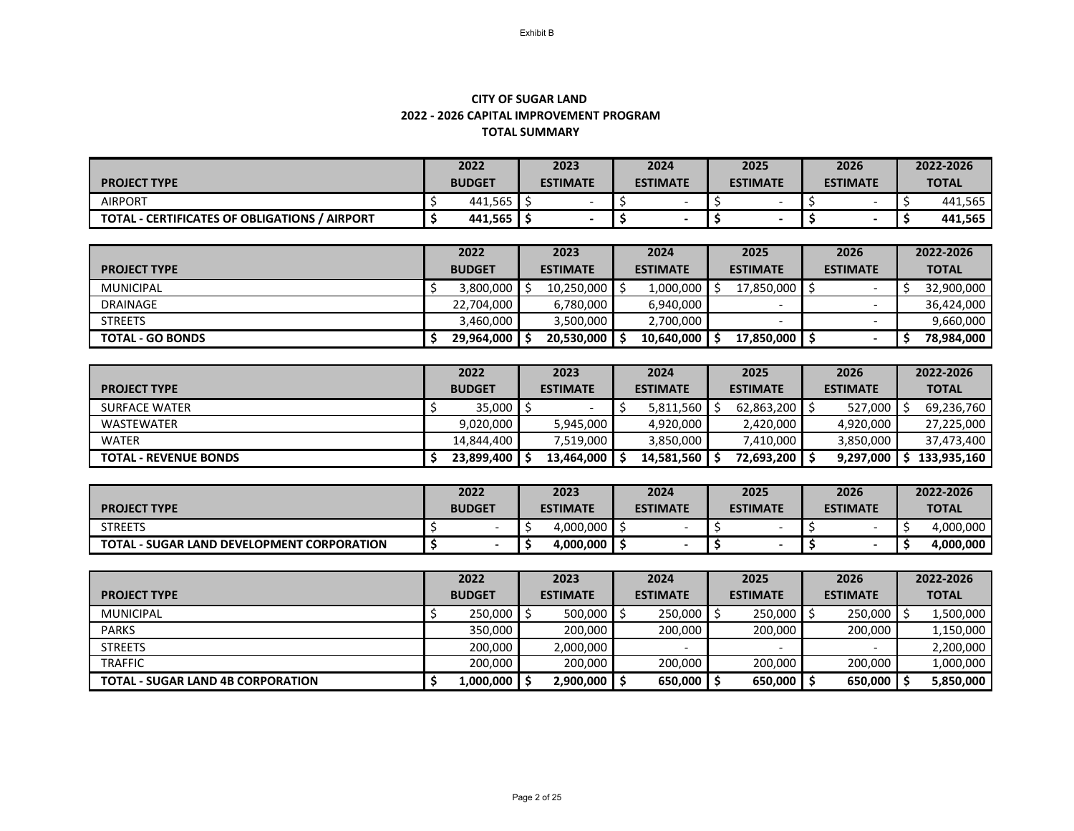## **TOTAL SUMMARY CITY OF SUGAR LAND 2022 - 2026 CAPITAL IMPROVEMENT PROGRAM**

|                                                      | 2022          |         | 2023 |                                    | 2024 |  | 2025            |                          | 2026            |  | 2022-2026    |
|------------------------------------------------------|---------------|---------|------|------------------------------------|------|--|-----------------|--------------------------|-----------------|--|--------------|
| <b>PROJECT TYPE</b>                                  | <b>BUDGET</b> |         |      | <b>ESTIMATE</b><br><b>ESTIMATE</b> |      |  | <b>ESTIMATE</b> |                          | <b>ESTIMATE</b> |  | <b>TOTAL</b> |
| <b>AIRPORT</b>                                       |               | 441,565 |      |                                    |      |  |                 |                          |                 |  | 441,565      |
| <b>TOTAL - CERTIFICATES OF OBLIGATIONS / AIRPORT</b> |               | 441,565 |      |                                    |      |  |                 | $\overline{\phantom{0}}$ |                 |  | 441,565      |

|                         | 2022          | 2023            | 2024            | 2025            | 2026            | 2022-2026    |
|-------------------------|---------------|-----------------|-----------------|-----------------|-----------------|--------------|
| <b>PROJECT TYPE</b>     | <b>BUDGET</b> | <b>ESTIMATE</b> | <b>ESTIMATE</b> | <b>ESTIMATE</b> | <b>ESTIMATE</b> | <b>TOTAL</b> |
| <b>MUNICIPAL</b>        | 3,800,000     | 10,250,000      | 1,000,000       | 17,850,000      |                 | 32,900,000   |
| <b>DRAINAGE</b>         | 22,704,000    | 6,780,000       | 6,940,000       |                 |                 | 36,424,000   |
| <b>STREETS</b>          | 3,460,000     | 3,500,000       | 2,700,000       |                 |                 | 9,660,000    |
| <b>TOTAL - GO BONDS</b> | 29,964,000    | 20,530,000      | 10,640,000      | 17,850,000      | $\sim$          | 78,984,000   |

|                              | 2022          | 2023            |                 | 2025            | 2026                    | 2022-2026    |
|------------------------------|---------------|-----------------|-----------------|-----------------|-------------------------|--------------|
| <b>PROJECT TYPE</b>          | <b>BUDGET</b> | <b>ESTIMATE</b> | <b>ESTIMATE</b> | <b>ESTIMATE</b> | <b>ESTIMATE</b>         | <b>TOTAL</b> |
| <b>SURFACE WATER</b>         | 35,000        |                 | 5,811,560       | $62,863,200$ \$ | $527,000$ $\frac{1}{3}$ | 69,236,760   |
| WASTEWATER                   | 9,020,000     | 5,945,000       | 4,920,000       | 2,420,000       | 4,920,000               | 27,225,000   |
| <b>WATER</b>                 | 14,844,400    | 7,519,000       | 3,850,000       | 7,410,000       | 3,850,000               | 37,473,400   |
| <b>TOTAL - REVENUE BONDS</b> | 23,899,400    | 13,464,000      | 14,581,560      | 72,693,200      | 9,297,000               | 133,935,160  |

|                                                   | 2022          | 2023                               | 2024 | 2025            | 2026            | 2022-2026    |  |
|---------------------------------------------------|---------------|------------------------------------|------|-----------------|-----------------|--------------|--|
| <b>PROJECT TYPE</b>                               | <b>BUDGET</b> | <b>ESTIMATE</b><br><b>ESTIMATE</b> |      | <b>ESTIMATE</b> | <b>ESTIMATE</b> | <b>TOTAL</b> |  |
| <b>STREETS</b>                                    |               | 4,000,000                          |      |                 |                 | 4,000,000    |  |
| <b>TOTAL - SUGAR LAND DEVELOPMENT CORPORATION</b> |               | 4,000,000                          |      |                 |                 | 4,000,000    |  |

|                                          | 2022          | 2023            | 2024            | 2025            | 2026            | 2022-2026    |
|------------------------------------------|---------------|-----------------|-----------------|-----------------|-----------------|--------------|
| <b>PROJECT TYPE</b>                      | <b>BUDGET</b> | <b>ESTIMATE</b> | <b>ESTIMATE</b> | <b>ESTIMATE</b> | <b>ESTIMATE</b> | <b>TOTAL</b> |
| <b>MUNICIPAL</b>                         | 250,000       | 500,000         | 250,000         | $250,000$ \$    | 250,000         | 1,500,000    |
| <b>PARKS</b>                             | 350,000       | 200,000         | 200,000         | 200,000         | 200,000         | 1,150,000    |
| <b>STREETS</b>                           | 200,000       | 2,000,000       |                 |                 |                 | 2,200,000    |
| <b>TRAFFIC</b>                           | 200,000       | 200,000         | 200,000         | 200,000         | 200,000         | 1,000,000    |
| <b>TOTAL - SUGAR LAND 4B CORPORATION</b> | 1,000,000     | 2,900,000       | $650,000$   \$  | $650,000$   \$  | 650,000         | 5,850,000    |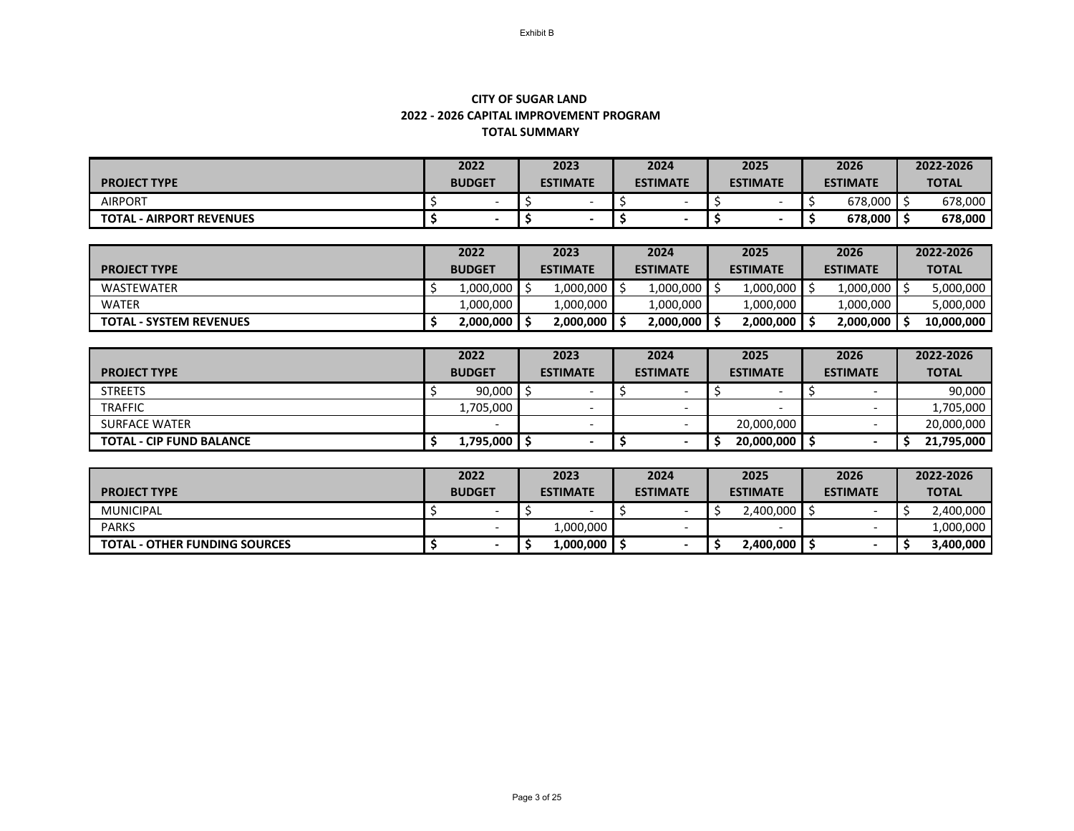## **TOTAL SUMMARY CITY OF SUGAR LAND 2022 - 2026 CAPITAL IMPROVEMENT PROGRAM**

|                                 | 2022          | 2023                     | 2024                     | 2025            | 2026                  | 2022-2026    |
|---------------------------------|---------------|--------------------------|--------------------------|-----------------|-----------------------|--------------|
| <b>PROJECT TYPE</b>             | <b>BUDGET</b> | <b>ESTIMATE</b>          | <b>ESTIMATE</b>          | <b>ESTIMATE</b> | <b>ESTIMATE</b>       | <b>TOTAL</b> |
| <b>AIRPORT</b>                  |               | $\overline{\phantom{a}}$ | $\overline{\phantom{a}}$ |                 | $678,000$   $\approx$ | 678,000      |
| <b>TOTAL - AIRPORT REVENUES</b> |               |                          |                          |                 | $678,000$   \$        | 678,000      |

|                                | 2022          | 2023            | 2024            | 2025            | 2026            | 2022-2026    |
|--------------------------------|---------------|-----------------|-----------------|-----------------|-----------------|--------------|
| <b>PROJECT TYPE</b>            | <b>BUDGET</b> | <b>ESTIMATE</b> | <b>ESTIMATE</b> | <b>ESTIMATE</b> | <b>ESTIMATE</b> | <b>TOTAL</b> |
| <b>WASTEWATER</b>              | 1,000,000     | 1,000,000       | 1,000,000       | 1,000,000       | 1,000,000       | 5,000,000    |
| <b>WATER</b>                   | 1,000,000     | 1,000,000       | 1,000,000       | 1,000,000       | 1,000,000       | 5,000,000    |
| <b>TOTAL - SYSTEM REVENUES</b> | 2,000,000     | 2,000,000       | 2,000,000       | 2,000,000       | 2,000,000       | 10,000,000   |

|                                 | 2022          | 2023                     | 2024                     | 2025            | 2026            | 2022-2026    |
|---------------------------------|---------------|--------------------------|--------------------------|-----------------|-----------------|--------------|
| <b>PROJECT TYPE</b>             | <b>BUDGET</b> | <b>ESTIMATE</b>          | <b>ESTIMATE</b>          | <b>ESTIMATE</b> | <b>ESTIMATE</b> | <b>TOTAL</b> |
| <b>STREETS</b>                  | 90,000        |                          |                          |                 |                 | 90,000       |
| <b>TRAFFIC</b>                  | 1,705,000     |                          |                          |                 |                 | 1,705,000    |
| <b>SURFACE WATER</b>            |               | $\overline{\phantom{a}}$ | $\overline{\phantom{0}}$ | 20,000,000      |                 | 20,000,000   |
| <b>TOTAL - CIP FUND BALANCE</b> | 1,795,000     |                          |                          | 20,000,000      |                 | 21,795,000   |

|                                      | 2022          | 2023<br>2024    |                          | 2025            | 2026            | 2022-2026    |
|--------------------------------------|---------------|-----------------|--------------------------|-----------------|-----------------|--------------|
| <b>PROJECT TYPE</b>                  | <b>BUDGET</b> | <b>ESTIMATE</b> | <b>ESTIMATE</b>          | <b>ESTIMATE</b> | <b>ESTIMATE</b> | <b>TOTAL</b> |
| <b>MUNICIPAL</b>                     |               |                 |                          | 2,400,000 S     |                 | 2,400,000    |
| <b>PARKS</b>                         |               | 1,000,000       | $\overline{\phantom{0}}$ |                 |                 | 1,000,000    |
| <b>TOTAL - OTHER FUNDING SOURCES</b> |               | 1,000,000       |                          | 2,400,000丨      |                 | 3,400,000    |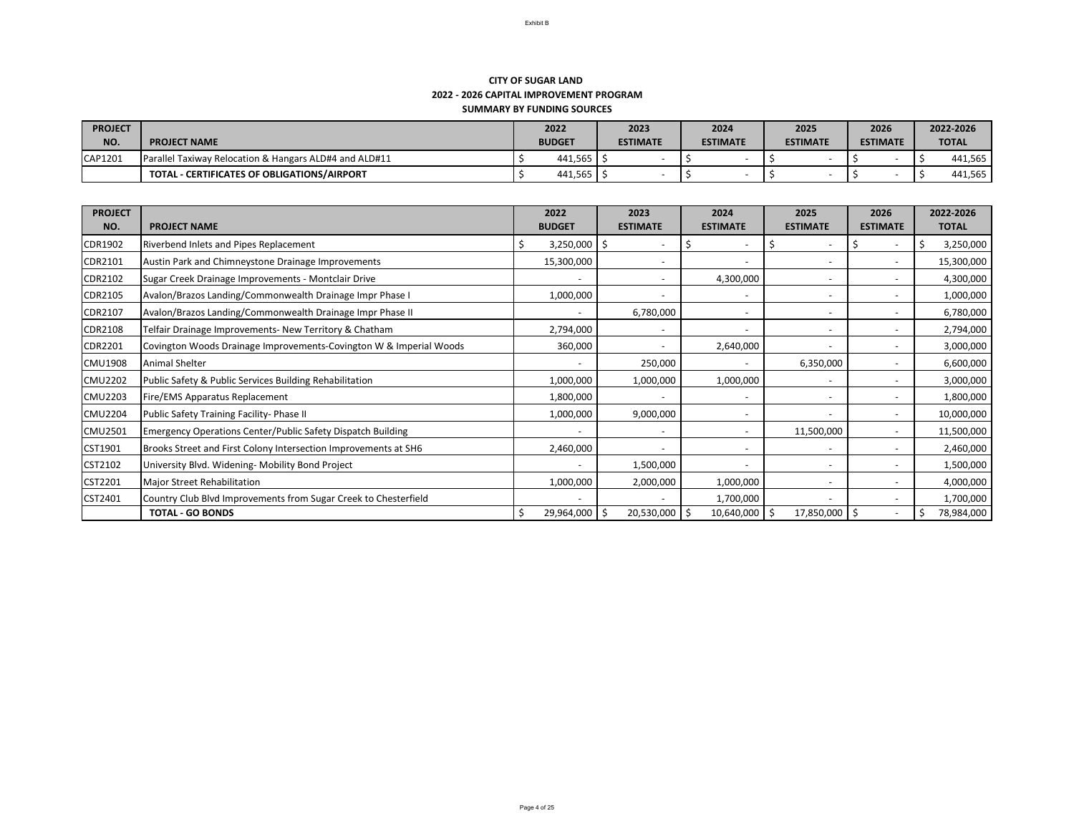| <b>PROJECT</b> |                                                                   | 2022          | 2023            | 2024            | 2025            | 2026            | 2022-2026    |  |
|----------------|-------------------------------------------------------------------|---------------|-----------------|-----------------|-----------------|-----------------|--------------|--|
| NO.            | <b>PROJECT NAME</b>                                               | <b>BUDGET</b> | <b>ESTIMATE</b> | <b>ESTIMATE</b> | <b>ESTIMATE</b> | <b>ESTIMATE</b> | <b>TOTAL</b> |  |
| CAP1201        | <b>Parallel Taxiway Relocation &amp; Hangars ALD#4 and ALD#11</b> | 441,565       |                 |                 |                 |                 | 441,565      |  |
|                | TOTAL - CERTIFICATES OF OBLIGATIONS/AIRPORT                       | 441,565       |                 |                 |                 |                 | 441,565      |  |

| <b>PROJECT</b> |                                                                    | 2022              | 2023              | 2024              | 2025              | 2026            | 2022-2026          |  |  |
|----------------|--------------------------------------------------------------------|-------------------|-------------------|-------------------|-------------------|-----------------|--------------------|--|--|
| NO.            | <b>PROJECT NAME</b>                                                | <b>BUDGET</b>     | <b>ESTIMATE</b>   | <b>ESTIMATE</b>   | <b>ESTIMATE</b>   | <b>ESTIMATE</b> | <b>TOTAL</b>       |  |  |
| <b>CDR1902</b> | <b>Riverbend Inlets and Pipes Replacement</b>                      | $3,250,000$   \$  |                   | S                 |                   | S               | 3,250,000<br>-S    |  |  |
| <b>CDR2101</b> | Austin Park and Chimneystone Drainage Improvements                 | 15,300,000        |                   |                   |                   |                 | 15,300,000         |  |  |
| <b>CDR2102</b> | Sugar Creek Drainage Improvements - Montclair Drive                |                   |                   | 4,300,000         |                   |                 | 4,300,000          |  |  |
| <b>CDR2105</b> | Avalon/Brazos Landing/Commonwealth Drainage Impr Phase I           | 1,000,000         |                   |                   |                   |                 | 1,000,000          |  |  |
| <b>CDR2107</b> | Avalon/Brazos Landing/Commonwealth Drainage Impr Phase II          |                   | 6,780,000         |                   |                   |                 | 6,780,000          |  |  |
| <b>CDR2108</b> | Telfair Drainage Improvements- New Territory & Chatham             | 2,794,000         |                   |                   |                   |                 | 2,794,000          |  |  |
| <b>CDR2201</b> | Covington Woods Drainage Improvements-Covington W & Imperial Woods | 360,000           |                   | 2,640,000         |                   |                 | 3,000,000          |  |  |
| <b>CMU1908</b> | <b>Animal Shelter</b>                                              |                   | 250,000           |                   | 6,350,000         |                 | 6,600,000          |  |  |
| <b>CMU2202</b> | Public Safety & Public Services Building Rehabilitation            | 1,000,000         | 1,000,000         | 1,000,000         |                   |                 | 3,000,000          |  |  |
| <b>CMU2203</b> | <b>Fire/EMS Apparatus Replacement</b>                              | 1,800,000         |                   |                   |                   |                 | 1,800,000          |  |  |
| <b>CMU2204</b> | Public Safety Training Facility- Phase II                          | 1,000,000         | 9,000,000         |                   |                   |                 | 10,000,000         |  |  |
| <b>CMU2501</b> | <b>Emergency Operations Center/Public Safety Dispatch Building</b> |                   |                   |                   | 11,500,000        |                 | 11,500,000         |  |  |
| CST1901        | Brooks Street and First Colony Intersection Improvements at SH6    | 2,460,000         |                   |                   |                   |                 | 2,460,000          |  |  |
| <b>CST2102</b> | University Blvd. Widening- Mobility Bond Project                   |                   | 1,500,000         |                   |                   |                 | 1,500,000          |  |  |
| CST2201        | Major Street Rehabilitation                                        | 1,000,000         | 2,000,000         | 1,000,000         |                   |                 | 4,000,000          |  |  |
| CST2401        | Country Club Blvd Improvements from Sugar Creek to Chesterfield    |                   |                   | 1,700,000         |                   |                 | 1,700,000          |  |  |
|                | <b>TOTAL - GO BONDS</b>                                            | $29,964,000$   \$ | $20,530,000$   \$ | $10,640,000$   \$ | $17,850,000$   \$ |                 | 78,984,000<br>  \$ |  |  |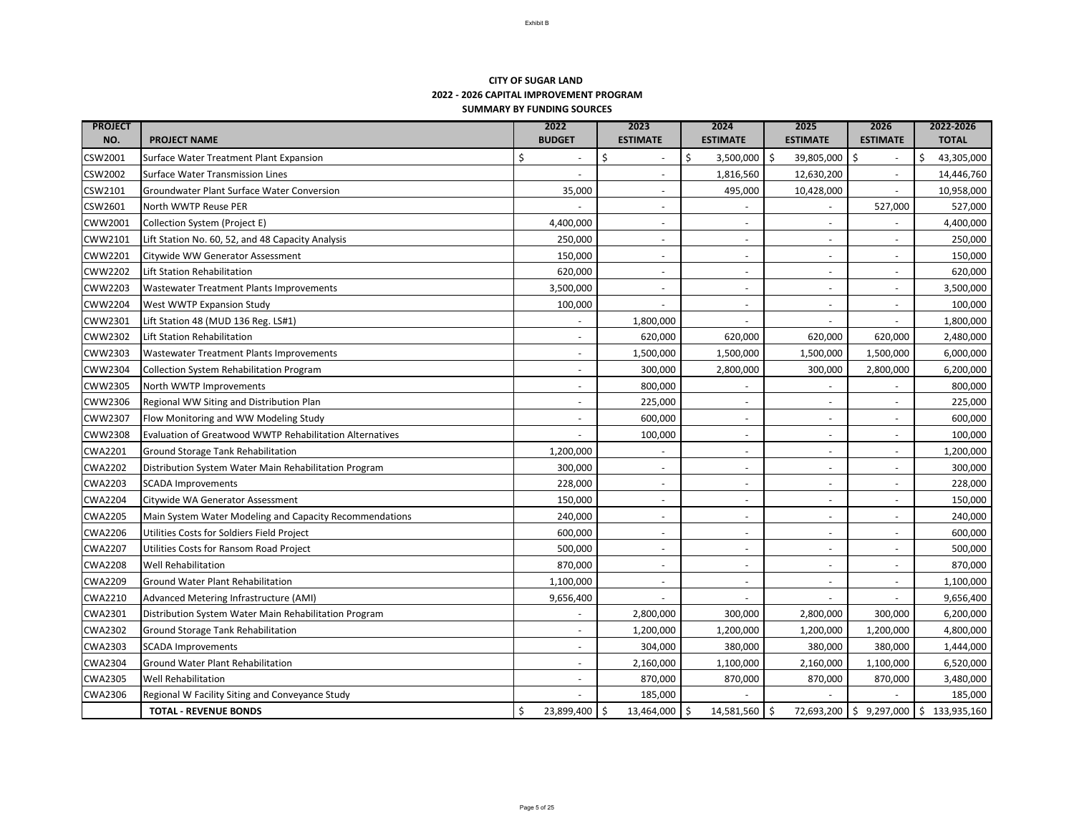| <b>PROJECT</b><br>NO. | <b>PROJECT NAME</b>                                      | 2022<br><b>BUDGET</b>           | 2023<br><b>ESTIMATE</b>  | 2024<br><b>ESTIMATE</b> | 2025<br><b>ESTIMATE</b> | 2026<br><b>ESTIMATE</b>          | 2022-2026<br><b>TOTAL</b> |
|-----------------------|----------------------------------------------------------|---------------------------------|--------------------------|-------------------------|-------------------------|----------------------------------|---------------------------|
| <b>CSW2001</b>        | Surface Water Treatment Plant Expansion                  |                                 |                          | 3,500,000               | 39,805,000<br>l Ş       | \$                               | 43,305,000                |
| <b>CSW2002</b>        | <b>Surface Water Transmission Lines</b>                  |                                 |                          | 1,816,560               | 12,630,200              |                                  | 14,446,760                |
| CSW2101               | <b>Groundwater Plant Surface Water Conversion</b>        | 35,000                          | $\overline{\phantom{0}}$ | 495,000                 | 10,428,000              |                                  | 10,958,000                |
| CSW2601               | North WWTP Reuse PER                                     |                                 | $\overline{\phantom{0}}$ |                         |                         | 527,000                          | 527,000                   |
| <b>CWW2001</b>        | Collection System (Project E)                            | 4,400,000                       | $\overline{\phantom{0}}$ |                         |                         |                                  | 4,400,000                 |
| <b>CWW2101</b>        | Lift Station No. 60, 52, and 48 Capacity Analysis        | 250,000                         | $\overline{\phantom{a}}$ |                         |                         | $\overline{\phantom{a}}$         | 250,000                   |
| <b>CWW2201</b>        | Citywide WW Generator Assessment                         | 150,000                         | $\overline{\phantom{0}}$ |                         |                         | $\overline{\phantom{a}}$         | 150,000                   |
| <b>CWW2202</b>        | Lift Station Rehabilitation                              | 620,000                         |                          |                         |                         |                                  | 620,000                   |
| <b>CWW2203</b>        | <b>Wastewater Treatment Plants Improvements</b>          | 3,500,000                       |                          |                         |                         |                                  | 3,500,000                 |
| <b>CWW2204</b>        | <b>West WWTP Expansion Study</b>                         | 100,000                         | $\overline{\phantom{0}}$ |                         |                         |                                  | 100,000                   |
| <b>CWW2301</b>        | Lift Station 48 (MUD 136 Reg. LS#1)                      |                                 | 1,800,000                |                         |                         |                                  | 1,800,000                 |
| <b>CWW2302</b>        | Lift Station Rehabilitation                              |                                 | 620,000                  | 620,000                 | 620,000                 | 620,000                          | 2,480,000                 |
| <b>CWW2303</b>        | <b>Wastewater Treatment Plants Improvements</b>          |                                 | 1,500,000                | 1,500,000               | 1,500,000               | 1,500,000                        | 6,000,000                 |
| <b>CWW2304</b>        | Collection System Rehabilitation Program                 |                                 | 300,000                  | 2,800,000               | 300,000                 | 2,800,000                        | 6,200,000                 |
| <b>CWW2305</b>        | North WWTP Improvements                                  |                                 | 800,000                  |                         |                         |                                  | 800,000                   |
| <b>CWW2306</b>        | Regional WW Siting and Distribution Plan                 |                                 | 225,000                  |                         |                         |                                  | 225,000                   |
| <b>CWW2307</b>        | Flow Monitoring and WW Modeling Study                    |                                 | 600,000                  |                         |                         |                                  | 600,000                   |
| <b>CWW2308</b>        | Evaluation of Greatwood WWTP Rehabilitation Alternatives |                                 | 100,000                  |                         |                         |                                  | 100,000                   |
| <b>CWA2201</b>        | <b>Ground Storage Tank Rehabilitation</b>                | 1,200,000                       | $\overline{\phantom{a}}$ |                         |                         |                                  | 1,200,000                 |
| <b>CWA2202</b>        | Distribution System Water Main Rehabilitation Program    | 300,000                         |                          |                         |                         |                                  | 300,000                   |
| <b>CWA2203</b>        | <b>SCADA Improvements</b>                                | 228,000                         | $\overline{\phantom{a}}$ |                         |                         |                                  | 228,000                   |
| <b>CWA2204</b>        | Citywide WA Generator Assessment                         | 150,000                         |                          |                         |                         |                                  | 150,000                   |
| <b>CWA2205</b>        | Main System Water Modeling and Capacity Recommendations  | 240,000                         | $\overline{\phantom{0}}$ |                         |                         |                                  | 240,000                   |
| <b>CWA2206</b>        | Utilities Costs for Soldiers Field Project               | 600,000                         | $\overline{\phantom{0}}$ |                         |                         |                                  | 600,000                   |
| <b>CWA2207</b>        | Utilities Costs for Ransom Road Project                  | 500,000                         | $\overline{\phantom{a}}$ |                         |                         |                                  | 500,000                   |
| <b>CWA2208</b>        | <b>Well Rehabilitation</b>                               | 870,000                         | $\overline{\phantom{0}}$ |                         |                         |                                  | 870,000                   |
| <b>CWA2209</b>        | <b>Ground Water Plant Rehabilitation</b>                 | 1,100,000                       | $\overline{\phantom{a}}$ |                         |                         |                                  | 1,100,000                 |
| <b>CWA2210</b>        | Advanced Metering Infrastructure (AMI)                   | 9,656,400                       |                          |                         |                         |                                  | 9,656,400                 |
| <b>CWA2301</b>        | Distribution System Water Main Rehabilitation Program    |                                 | 2,800,000                | 300,000                 | 2,800,000               | 300,000                          | 6,200,000                 |
| <b>CWA2302</b>        | <b>Ground Storage Tank Rehabilitation</b>                |                                 | 1,200,000                | 1,200,000               | 1,200,000               | 1,200,000                        | 4,800,000                 |
| <b>CWA2303</b>        | <b>SCADA Improvements</b>                                |                                 | 304,000                  | 380,000                 | 380,000                 | 380,000                          | 1,444,000                 |
| <b>CWA2304</b>        | <b>Ground Water Plant Rehabilitation</b>                 |                                 | 2,160,000                | 1,100,000               | 2,160,000               | 1,100,000                        | 6,520,000                 |
| <b>CWA2305</b>        | <b>Well Rehabilitation</b>                               |                                 | 870,000                  | 870,000                 | 870,000                 | 870,000                          | 3,480,000                 |
| <b>CWA2306</b>        | Regional W Facility Siting and Conveyance Study          |                                 | 185,000                  |                         |                         |                                  | 185,000                   |
|                       | <b>TOTAL - REVENUE BONDS</b>                             | $23,899,400$ \$<br>$\mathsf{S}$ | $13,464,000$   \$        | $14,581,560$   \$       |                         | $72,693,200$   \$ 9,297,000   \$ | 133,935,160               |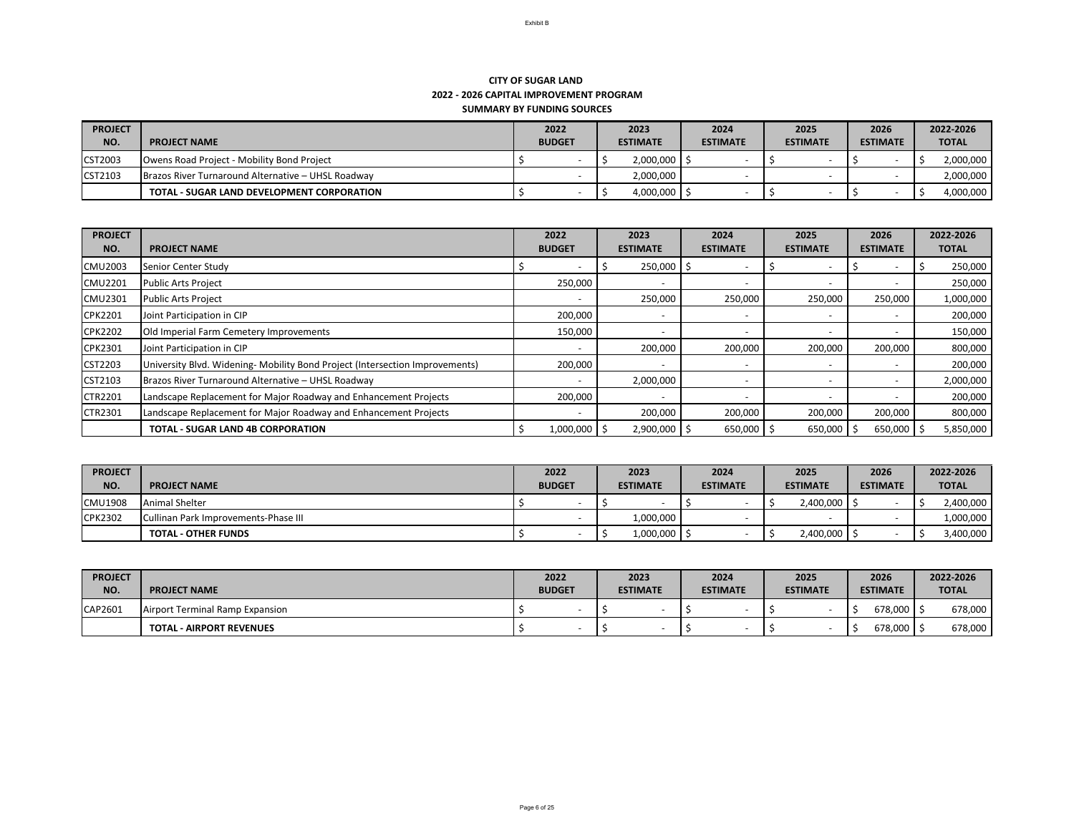| <b>PROJECT</b> |                                                    | 2022          | 2023                  | 2024            | 2025            | 2026            | 2022-2026    |
|----------------|----------------------------------------------------|---------------|-----------------------|-----------------|-----------------|-----------------|--------------|
| NO.            | <b>PROJECT NAME</b>                                | <b>BUDGET</b> | <b>ESTIMATE</b>       | <b>ESTIMATE</b> | <b>ESTIMATE</b> | <b>ESTIMATE</b> | <b>TOTAL</b> |
| <b>CST2003</b> | <b>Owens Road Project - Mobility Bond Project</b>  |               | $2,000,000$ $\mid$ \$ |                 |                 |                 | 2,000,000    |
| <b>CST2103</b> | Brazos River Turnaround Alternative – UHSL Roadway |               | 2,000,000             |                 |                 |                 | 2,000,000    |
|                | <b>TOTAL - SUGAR LAND DEVELOPMENT CORPORATION</b>  |               | 4,000,000             |                 |                 |                 | 4,000,000    |

| <b>PROJECT</b><br>NO. | <b>PROJECT NAME</b>                                                         | 2022<br><b>BUDGET</b> | 2023<br><b>ESTIMATE</b> | 2024<br><b>ESTIMATE</b> | 2025<br><b>ESTIMATE</b> | 2026<br><b>ESTIMATE</b> | 2022-2026<br><b>TOTAL</b> |
|-----------------------|-----------------------------------------------------------------------------|-----------------------|-------------------------|-------------------------|-------------------------|-------------------------|---------------------------|
| <b>CMU2003</b>        | Senior Center Study                                                         |                       | 250,000                 |                         |                         |                         | 250,000                   |
| <b>CMU2201</b>        | <b>Public Arts Project</b>                                                  | 250,000               |                         |                         |                         |                         | 250,000                   |
| <b>CMU2301</b>        | <b>Public Arts Project</b>                                                  |                       | 250,000                 | 250,000                 | 250,000                 | 250,000<br>1,000,000    |                           |
| <b>CPK2201</b>        | Joint Participation in CIP                                                  | 200,000               |                         |                         |                         |                         | 200,000                   |
| <b>CPK2202</b>        | Old Imperial Farm Cemetery Improvements                                     | 150,000               |                         |                         |                         |                         | 150,000                   |
| <b>CPK2301</b>        | Joint Participation in CIP                                                  |                       | 200,000                 | 200,000                 | 200,000                 | 200,000                 | 800,000                   |
| CST2203               | University Blvd. Widening-Mobility Bond Project (Intersection Improvements) | 200,000               |                         |                         |                         |                         | 200,000                   |
| CST2103               | Brazos River Turnaround Alternative - UHSL Roadway                          |                       | 2,000,000               |                         |                         |                         | 2,000,000                 |
| <b>CTR2201</b>        | Landscape Replacement for Major Roadway and Enhancement Projects            | 200,000               |                         |                         |                         |                         | 200,000                   |
| <b>CTR2301</b>        | Landscape Replacement for Major Roadway and Enhancement Projects            |                       | 200,000                 | 200,000                 | 200,000                 | 200,000                 | 800,000                   |
|                       | <b>TOTAL - SUGAR LAND 4B CORPORATION</b>                                    | $1,000,000$   \$      | 2,900,000 \$            | $650,000$ \$            | $650,000$   \$          | $650,000$   \$          | 5,850,000                 |

| <b>PROJECT</b> |                                      | 2022          | 2023            | 2024            | 2025                           | 2026            | 2022-2026    |
|----------------|--------------------------------------|---------------|-----------------|-----------------|--------------------------------|-----------------|--------------|
| NO.            | <b>PROJECT NAME</b>                  | <b>BUDGET</b> | <b>ESTIMATE</b> | <b>ESTIMATE</b> | <b>ESTIMATE</b>                | <b>ESTIMATE</b> | <b>TOTAL</b> |
| <b>CMU1908</b> | <b>Animal Shelter</b>                |               |                 |                 | $2,400,000$ $\mid \frac{4}{5}$ |                 | 2,400,000    |
| <b>CPK2302</b> | Cullinan Park Improvements-Phase III |               | L,000,000       |                 |                                |                 | 1,000,000    |
|                | <b>TOTAL - OTHER FUNDS</b>           |               |                 |                 | 2,400,000 I \$                 |                 | 3,400,000    |

| <b>PROJECT</b><br>NO. | <b>PROJECT NAME</b>             | 2022<br><b>BUDGET</b> |  | 2023<br><b>ESTIMATE</b> | 2024<br><b>ESTIMATE</b> |  | 2025<br><b>ESTIMATE</b> | 2026<br><b>ESTIMATE</b> | 2022-2026<br><b>TOTAL</b> |         |
|-----------------------|---------------------------------|-----------------------|--|-------------------------|-------------------------|--|-------------------------|-------------------------|---------------------------|---------|
| <b>CAP2601</b>        | Airport Terminal Ramp Expansion |                       |  |                         |                         |  |                         | $678,000$ $\mid$ \$     |                           | 678,000 |
|                       | <b>TOTAL - AIRPORT REVENUES</b> |                       |  |                         |                         |  |                         | 678,000   \$            |                           | 678,000 |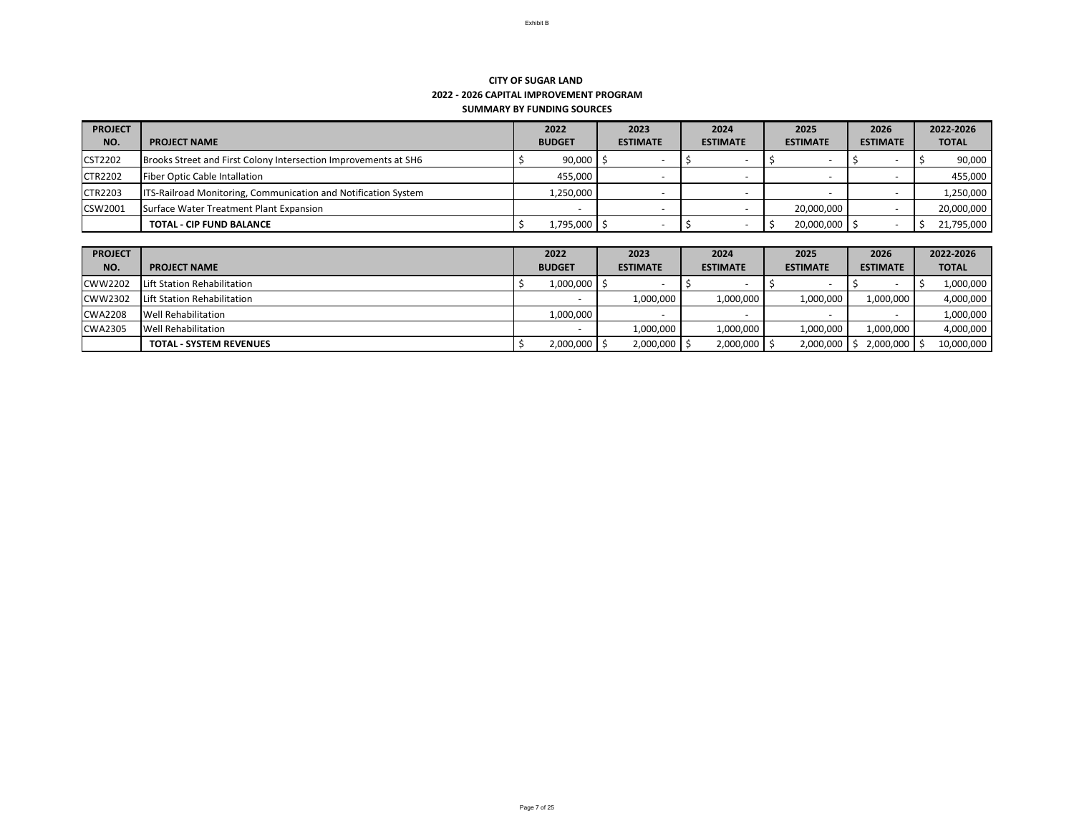| <b>PROJECT</b> |                                                                       | 2022             | 2023            | 2024            | 2025                     | 2026            | 2022-2026    |
|----------------|-----------------------------------------------------------------------|------------------|-----------------|-----------------|--------------------------|-----------------|--------------|
| NO.            | <b>PROJECT NAME</b>                                                   | <b>BUDGET</b>    | <b>ESTIMATE</b> | <b>ESTIMATE</b> | <b>ESTIMATE</b>          | <b>ESTIMATE</b> | <b>TOTAL</b> |
| <b>CST2202</b> | Brooks Street and First Colony Intersection Improvements at SH6       | $90,000$   \$    |                 |                 |                          |                 | 90,000       |
| <b>CTR2202</b> | <b>Fiber Optic Cable Intallation</b>                                  | 455,000          |                 |                 |                          |                 | 455,000      |
| <b>CTR2203</b> | <b>ITS-Railroad Monitoring, Communication and Notification System</b> | 1,250,000        |                 |                 | $\overline{\phantom{a}}$ |                 | 1,250,000    |
| CSW2001        | Surface Water Treatment Plant Expansion                               |                  |                 |                 | 20,000,000               |                 | 20,000,000   |
|                | <b>TOTAL - CIP FUND BALANCE</b>                                       | $1,795,000$   \$ |                 |                 | $20,000,000$   \$        |                 | 21,795,000   |

| <b>PROJECT</b> |                                | 2022          | 2023            | 2024             | 2025                  | 2026            | 2022-2026    |  |
|----------------|--------------------------------|---------------|-----------------|------------------|-----------------------|-----------------|--------------|--|
| NO.            | <b>PROJECT NAME</b>            | <b>BUDGET</b> | <b>ESTIMATE</b> | <b>ESTIMATE</b>  | <b>ESTIMATE</b>       | <b>ESTIMATE</b> | <b>TOTAL</b> |  |
| <b>CWW2202</b> | Lift Station Rehabilitation    | 1,000,000     |                 |                  |                       |                 | 1,000,000    |  |
| <b>CWW2302</b> | Lift Station Rehabilitation    |               | 1,000,000       | 1,000,000        | 1,000,000             | 1,000,000       | 4,000,000    |  |
| <b>CWA2208</b> | <b>Well Rehabilitation</b>     | 1,000,000     |                 |                  |                       |                 | 1,000,000    |  |
| <b>CWA2305</b> | <b>Well Rehabilitation</b>     |               | 1,000,000       | 1,000,000        | 1,000,000             | 1,000,000       | 4,000,000    |  |
|                | <b>TOTAL - SYSTEM REVENUES</b> | 2,000,000     | 2,000,000       | $2,000,000$   \$ | $2,000,000$ $\mid$ \$ | $2,000,000$ \$  | 10,000,000   |  |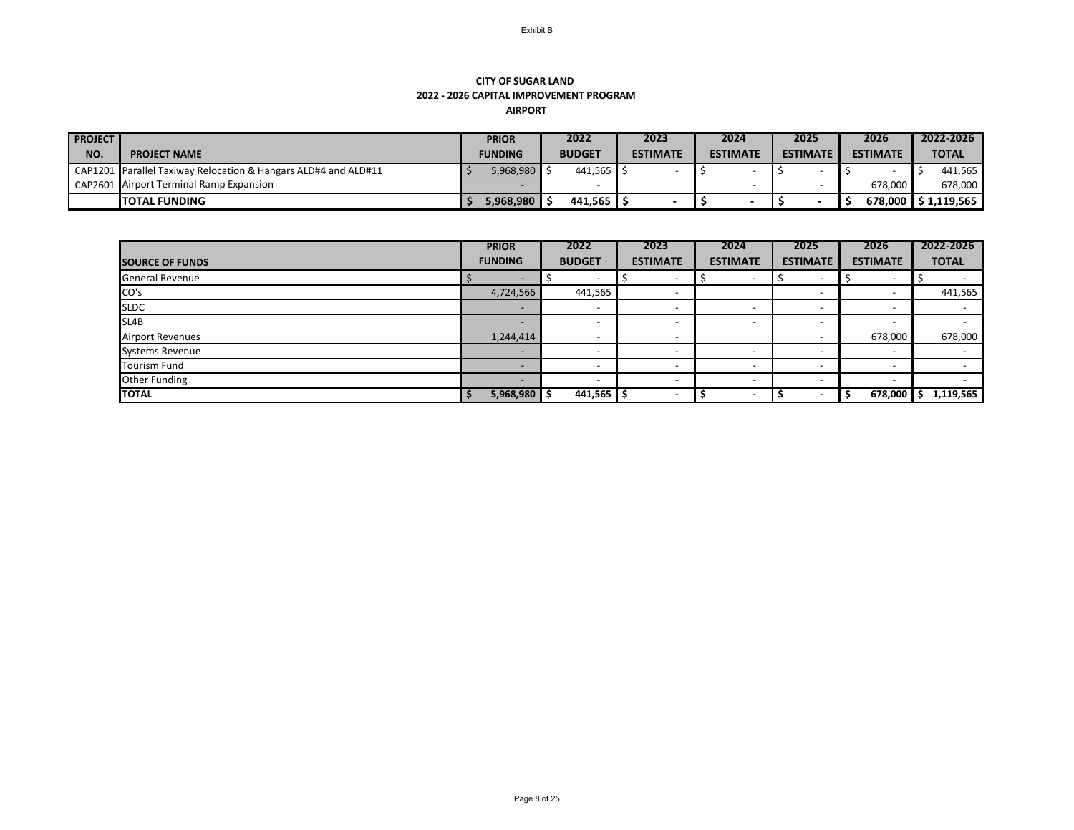## **CITY OF SUGAR LAND 2022 - 2026 CAPITAL IMPROVEMENT PROGRAM AIRPORT**

| <b>PROJECT</b> |                                                                | <b>PRIOR</b>           |  | 2022              |  | 2023            | 2024            |  | 2025            |  | 2026            |         |              | 2022-2026             |
|----------------|----------------------------------------------------------------|------------------------|--|-------------------|--|-----------------|-----------------|--|-----------------|--|-----------------|---------|--------------|-----------------------|
| NO.            | <b>PROJECT NAME</b>                                            | <b>FUNDING</b>         |  | <b>BUDGET</b>     |  | <b>ESTIMATE</b> | <b>ESTIMATE</b> |  | <b>ESTIMATE</b> |  | <b>ESTIMATE</b> |         | <b>TOTAL</b> |                       |
|                | CAP1201 Parallel Taxiway Relocation & Hangars ALD#4 and ALD#11 | 5,968,980              |  | 441,565           |  |                 |                 |  |                 |  |                 |         |              | 441,565               |
|                | CAP2601 Airport Terminal Ramp Expansion                        |                        |  |                   |  |                 |                 |  |                 |  |                 | 678,000 |              | 678,000               |
|                | <b>ITOTAL FUNDING</b>                                          | <sup>/</sup> 968,980,ذ |  | 441,565 $\vert$ . |  |                 |                 |  |                 |  |                 |         |              | 678,000   \$1,119,565 |

| <b>SOURCE OF FUNDS</b> | <b>PRIOR</b><br><b>FUNDING</b> | 2022<br><b>BUDGET</b>    | 2023<br><b>ESTIMATE</b>  | 2024<br><b>ESTIMATE</b>  | 2025<br><b>ESTIMATE</b>  | 2026<br><b>ESTIMATE</b>  | 2022-2026<br><b>TOTAL</b> |
|------------------------|--------------------------------|--------------------------|--------------------------|--------------------------|--------------------------|--------------------------|---------------------------|
| <b>General Revenue</b> |                                | $\overline{\phantom{a}}$ | $\overline{\phantom{0}}$ | $\overline{\phantom{0}}$ | $\overline{\phantom{0}}$ |                          |                           |
| CO's                   | 4,724,566                      | 441,565                  | $\overline{\phantom{0}}$ |                          | $\overline{\phantom{0}}$ |                          | 441,565                   |
| <b>SLDC</b>            | $\qquad \qquad$                | $\overline{\phantom{a}}$ | $\overline{\phantom{0}}$ | $\overline{\phantom{0}}$ | $\overline{\phantom{0}}$ | $\overline{\phantom{a}}$ |                           |
| SL4B                   |                                | $\overline{\phantom{0}}$ | $\overline{\phantom{0}}$ | $\overline{\phantom{0}}$ | $\overline{\phantom{0}}$ | $\overline{\phantom{0}}$ |                           |
| Airport Revenues       | 1,244,414                      | $\overline{\phantom{a}}$ | $\overline{\phantom{0}}$ |                          | $\overline{\phantom{0}}$ | 678,000                  | 678,000                   |
| <b>Systems Revenue</b> |                                | $\overline{\phantom{0}}$ | $\overline{\phantom{0}}$ | $\overline{\phantom{a}}$ | $\overline{\phantom{a}}$ | $\overline{\phantom{a}}$ |                           |
| <b>Tourism Fund</b>    |                                | -                        | $\overline{\phantom{0}}$ | $\overline{\phantom{0}}$ | $\overline{\phantom{0}}$ | $\overline{\phantom{0}}$ |                           |
| <b>Other Funding</b>   |                                | $\overline{\phantom{a}}$ | $\overline{\phantom{a}}$ | $\overline{\phantom{0}}$ | $\overline{\phantom{0}}$ | $\overline{\phantom{0}}$ |                           |
| <b>TOTAL</b>           | 5,968,980                      | $441,565$ \$             | $\overline{\phantom{0}}$ |                          |                          | 678,000                  | 1,119,565                 |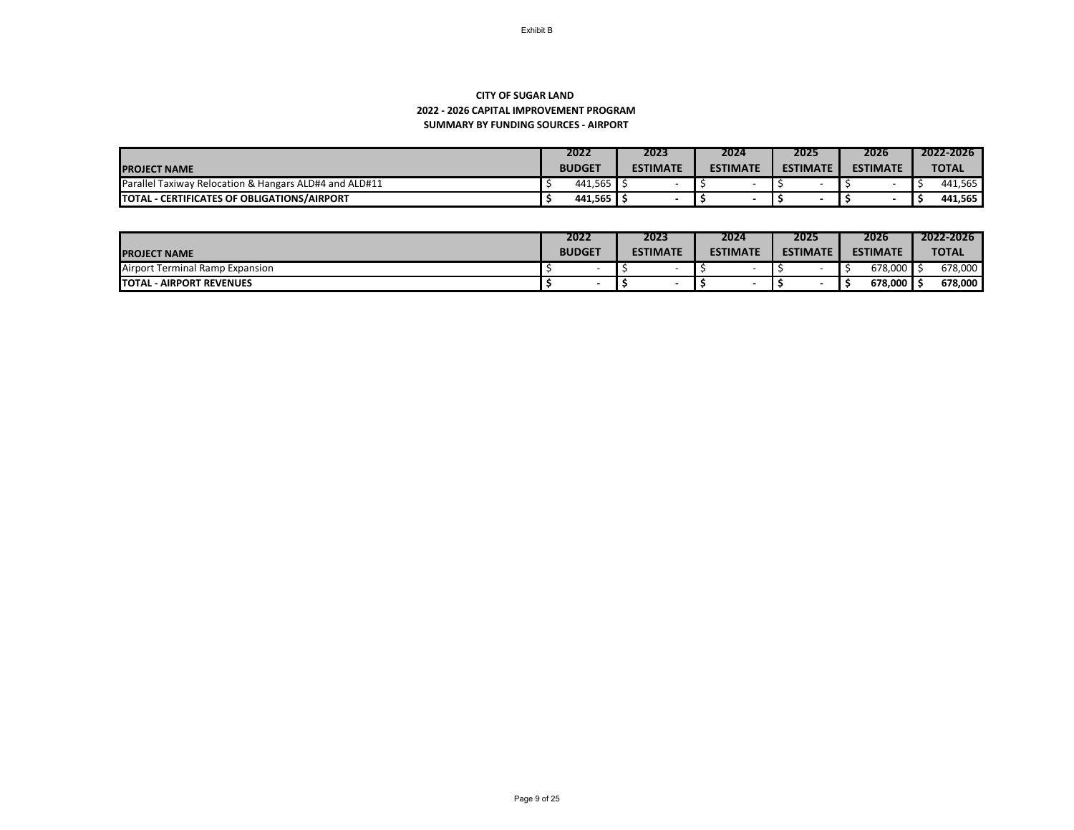## **SUMMARY BY FUNDING SOURCES - AIRPORT CITY OF SUGAR LAND 2022 - 2026 CAPITAL IMPROVEMENT PROGRAM**

|                                                                   | 2022          | 2023            | 2024            | 2025            | 2026            | 2022-2026    |
|-------------------------------------------------------------------|---------------|-----------------|-----------------|-----------------|-----------------|--------------|
| <b>IPROJECT NAME</b>                                              | <b>BUDGET</b> | <b>ESTIMATE</b> | <b>ESTIMATE</b> | <b>ESTIMATE</b> | <b>ESTIMATE</b> | <b>TOTAL</b> |
| <b>Parallel Taxiway Relocation &amp; Hangars ALD#4 and ALD#11</b> | 441,565       |                 |                 |                 |                 | 441,565      |
| <b>ITOTAL</b><br>- CERTIFICATES OF OBLIGATIONS/AIRPORT            | 441,565       |                 |                 |                 |                 | 441,565      |

|                                       | 2022          |  | 2023            |  | 2024            |                 | 2025 |                 | 2026    |              | 2022-2026 |
|---------------------------------------|---------------|--|-----------------|--|-----------------|-----------------|------|-----------------|---------|--------------|-----------|
| <b>IPROJECT NAME</b>                  | <b>BUDGET</b> |  | <b>ESTIMATE</b> |  | <b>ESTIMATE</b> | <b>ESTIMATE</b> |      | <b>ESTIMATE</b> |         | <b>TOTAL</b> |           |
| t Terminal Ramp Expansion<br>"Airport | -             |  |                 |  |                 |                 |      |                 | 678,000 |              | 678,000   |
| <b>ITOTAL</b><br>- AIRPORT REVENUES   |               |  |                 |  |                 |                 |      |                 | 678,000 |              | 678,000   |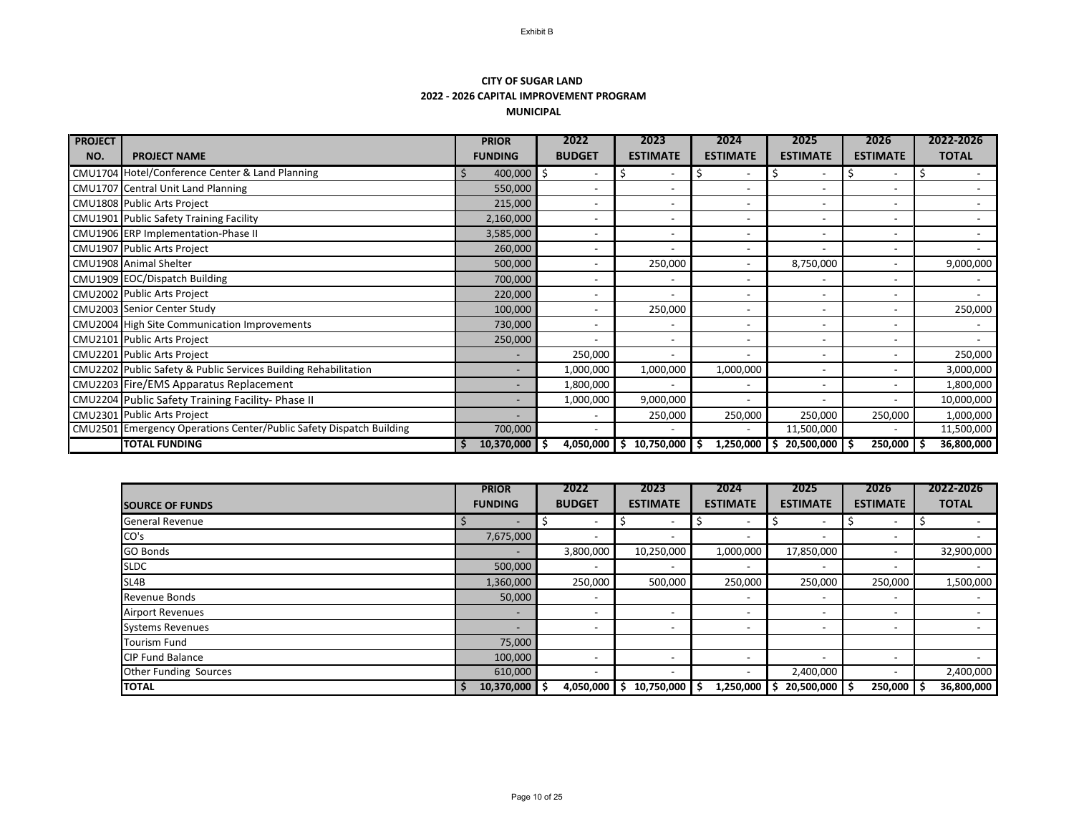## **CITY OF SUGAR LAND 2022 - 2026 CAPITAL IMPROVEMENT PROGRAM MUNICIPAL**

| <b>PROJECT</b> |                                                                     | <b>PRIOR</b>             | 2022                         | 2023            | 2024            | 2025            | 2026                     | 2022-2026    |
|----------------|---------------------------------------------------------------------|--------------------------|------------------------------|-----------------|-----------------|-----------------|--------------------------|--------------|
| NO.            | <b>PROJECT NAME</b>                                                 | <b>FUNDING</b>           | <b>BUDGET</b>                | <b>ESTIMATE</b> | <b>ESTIMATE</b> | <b>ESTIMATE</b> | <b>ESTIMATE</b>          | <b>TOTAL</b> |
|                | CMU1704 Hotel/Conference Center & Land Planning                     | 400,000                  | \$                           | S               | 5               | S               |                          |              |
|                | <b>CMU1707</b> Central Unit Land Planning                           | 550,000                  |                              |                 |                 |                 |                          |              |
|                | CMU1808 Public Arts Project                                         | 215,000                  | $\overline{\phantom{0}}$     |                 |                 |                 | $\overline{\phantom{a}}$ |              |
|                | CMU1901 Public Safety Training Facility                             | 2,160,000                | $\overline{\phantom{0}}$     |                 |                 |                 | $\overline{\phantom{a}}$ |              |
|                | CMU1906 ERP Implementation-Phase II                                 | 3,585,000                | $\overline{\phantom{0}}$     |                 |                 |                 | $\overline{\phantom{a}}$ |              |
|                | CMU1907 Public Arts Project                                         | 260,000                  | $\overline{\phantom{0}}$     |                 |                 |                 | $\overline{\phantom{a}}$ |              |
|                | <b>CMU1908</b> Animal Shelter                                       | 500,000                  | $\overline{\phantom{0}}$     | 250,000         |                 | 8,750,000       |                          | 9,000,000    |
|                | CMU1909 EOC/Dispatch Building                                       | 700,000                  | $\overline{\phantom{0}}$     |                 |                 |                 | $\overline{\phantom{a}}$ |              |
|                | CMU2002 Public Arts Project                                         | 220,000                  |                              |                 |                 |                 | $\overline{\phantom{a}}$ |              |
|                | CMU2003 Senior Center Study                                         | 100,000                  | $\overline{\phantom{0}}$     | 250,000         |                 |                 |                          | 250,000      |
|                | CMU2004 High Site Communication Improvements                        | 730,000                  | $\overline{\phantom{0}}$     |                 |                 |                 | $\overline{\phantom{0}}$ |              |
|                | CMU2101 Public Arts Project                                         | 250,000                  | $\overline{\phantom{a}}$     |                 |                 |                 | $\overline{\phantom{a}}$ |              |
|                | CMU2201 Public Arts Project                                         | $\overline{\phantom{a}}$ | 250,000                      |                 |                 |                 | $\overline{\phantom{0}}$ | 250,000      |
|                | CMU2202 Public Safety & Public Services Building Rehabilitation     | $\overline{\phantom{a}}$ | 1,000,000                    | 1,000,000       | 1,000,000       |                 |                          | 3,000,000    |
|                | CMU2203 Fire/EMS Apparatus Replacement                              | $\overline{\phantom{a}}$ | 1,800,000                    |                 |                 |                 |                          | 1,800,000    |
|                | CMU2204 Public Safety Training Facility- Phase II                   | $\overline{\phantom{0}}$ | 1,000,000                    | 9,000,000       |                 |                 | $\overline{\phantom{a}}$ | 10,000,000   |
|                | CMU2301 Public Arts Project                                         | $\overline{\phantom{a}}$ | $\qquad \qquad \blacksquare$ | 250,000         | 250,000         | 250,000         | 250,000                  | 1,000,000    |
|                | CMU2501 Emergency Operations Center/Public Safety Dispatch Building | 700,000                  |                              |                 |                 | 11,500,000      |                          | 11,500,000   |
|                | <b>TOTAL FUNDING</b>                                                | 10,370,000               | 4,050,000                    | 10,750,000<br>S | 1,250,000<br>-Ş | 20,500,000      | 250,000                  | 36,800,000   |

|                              | <b>PRIOR</b>             | 2022                     | 2023                     | 2024                     | 2025                     | 2026                     | 2022-2026    |
|------------------------------|--------------------------|--------------------------|--------------------------|--------------------------|--------------------------|--------------------------|--------------|
| <b>SOURCE OF FUNDS</b>       | <b>FUNDING</b>           | <b>BUDGET</b>            | <b>ESTIMATE</b>          | <b>ESTIMATE</b>          | <b>ESTIMATE</b>          | <b>ESTIMATE</b>          | <b>TOTAL</b> |
| <b>General Revenue</b>       |                          | $\overline{\phantom{a}}$ |                          | $\overline{\phantom{0}}$ |                          |                          |              |
| CO's                         | 7,675,000                | $\overline{\phantom{a}}$ |                          | $\overline{\phantom{0}}$ | $\overline{\phantom{0}}$ | $\overline{\phantom{0}}$ |              |
| <b>GO Bonds</b>              | $\overline{\phantom{0}}$ | 3,800,000                | 10,250,000               | 1,000,000                | 17,850,000               | $\overline{\phantom{a}}$ | 32,900,000   |
| <b>SLDC</b>                  | 500,000                  |                          |                          |                          | $\overline{\phantom{a}}$ |                          |              |
| SL4B                         | 1,360,000                | 250,000                  | 500,000                  | 250,000                  | 250,000                  | 250,000                  | 1,500,000    |
| <b>Revenue Bonds</b>         | 50,000                   | $\overline{\phantom{a}}$ |                          | $\overline{\phantom{0}}$ | $\overline{\phantom{a}}$ | $\overline{\phantom{a}}$ |              |
| <b>Airport Revenues</b>      | $\overline{\phantom{0}}$ | $\overline{\phantom{a}}$ | $\overline{\phantom{0}}$ | $\overline{\phantom{a}}$ | $\overline{\phantom{a}}$ | $\qquad \qquad$          |              |
| <b>Systems Revenues</b>      | $\overline{\phantom{0}}$ | $\overline{\phantom{a}}$ |                          | $\overline{\phantom{0}}$ | $\overline{\phantom{0}}$ | $\overline{\phantom{0}}$ |              |
| <b>Tourism Fund</b>          | 75,000                   |                          |                          |                          |                          |                          |              |
| <b>CIP Fund Balance</b>      | 100,000                  | $\overline{\phantom{a}}$ | $\overline{\phantom{0}}$ | $\overline{\phantom{a}}$ | $\overline{\phantom{a}}$ | $\overline{\phantom{a}}$ |              |
| <b>Other Funding Sources</b> | 610,000                  | $\overline{\phantom{a}}$ |                          | $\overline{\phantom{a}}$ | 2,400,000                | $\overline{\phantom{a}}$ | 2,400,000    |
| <b>TOTAL</b>                 | 10,370,000               | -\$<br>4,050,000         | 10,750,000 \$<br>S       | $1,250,000$ \$           | 20,500,000               | 250,000                  | 36,800,000   |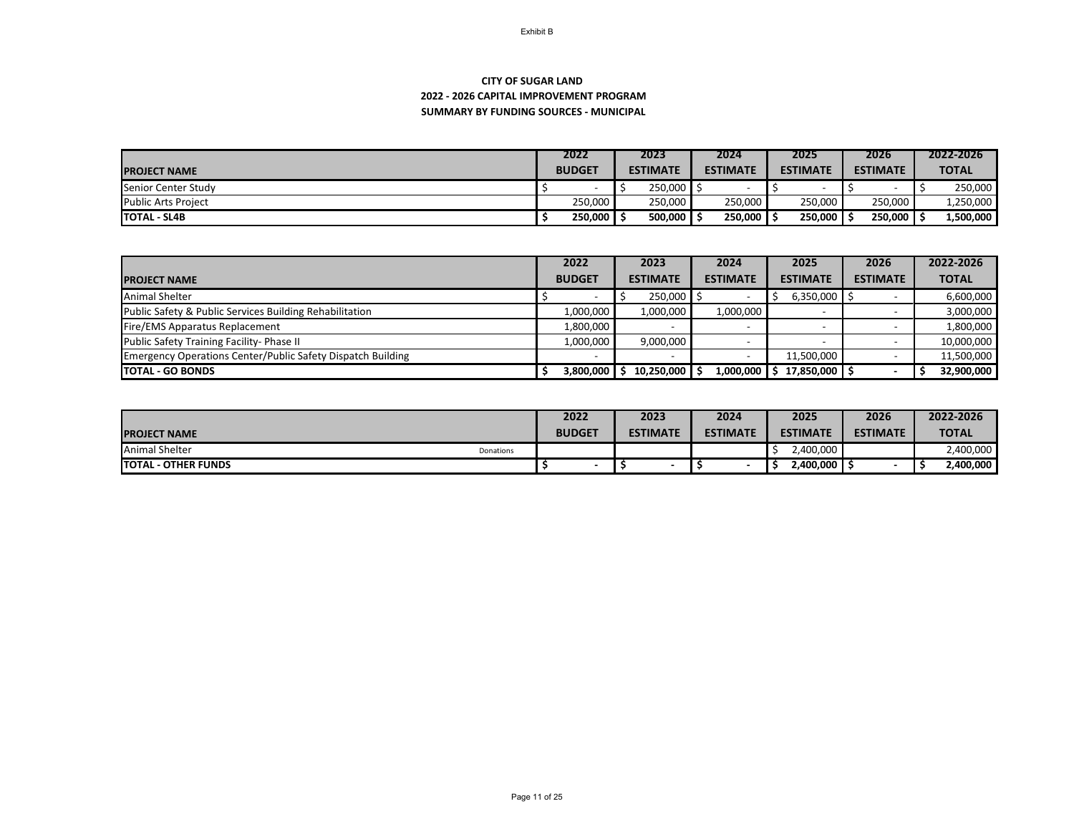## **SUMMARY BY FUNDING SOURCES - MUNICIPAL CITY OF SUGAR LAND 2022 - 2026 CAPITAL IMPROVEMENT PROGRAM**

|                            | 2022          |  |  | 2023            | 2024            |         | 2025            |  | 2026            |  | 2022-2026    |
|----------------------------|---------------|--|--|-----------------|-----------------|---------|-----------------|--|-----------------|--|--------------|
| <b>IPROJECT NAME</b>       | <b>BUDGET</b> |  |  | <b>ESTIMATE</b> | <b>ESTIMATE</b> |         | <b>ESTIMATE</b> |  | <b>ESTIMATE</b> |  | <b>TOTAL</b> |
| Senior Center Study        |               |  |  | 250,000         |                 |         |                 |  |                 |  | 250,000      |
| <b>Public Arts Project</b> | 250,000       |  |  | 250,000         |                 | 250,000 | 250,000         |  | 250,000         |  | 1,250,000    |
| <b>TOTAL - SL4B</b>        | 250,000       |  |  | 500,000         |                 | 250,000 | 250,000         |  | 250,000         |  | 1,500,000    |

|                                                             | 2022                     |                         | 2024                      | 2025            | 2026            | 2022-2026    |
|-------------------------------------------------------------|--------------------------|-------------------------|---------------------------|-----------------|-----------------|--------------|
| <b>PROJECT NAME</b>                                         | <b>BUDGET</b>            | <b>ESTIMATE</b>         | <b>ESTIMATE</b>           | <b>ESTIMATE</b> | <b>ESTIMATE</b> | <b>TOTAL</b> |
| <b>Animal Shelter</b>                                       |                          | $250,000$ $\frac{3}{2}$ |                           | 6,350,000       |                 | 6,600,000    |
| Public Safety & Public Services Building Rehabilitation     | 1,000,000                | 1,000,000               | 1,000,000                 |                 |                 | 3,000,000    |
| Fire/EMS Apparatus Replacement                              | 1,800,000                |                         |                           |                 |                 | 1,800,000    |
| <b>Public Safety Training Facility-Phase II</b>             | 1,000,000                | 9,000,000               |                           |                 |                 | 10,000,000   |
| Emergency Operations Center/Public Safety Dispatch Building | $\overline{\phantom{0}}$ |                         |                           | 11,500,000      |                 | 11,500,000   |
| <b>TOTAL - GO BONDS</b>                                     | 3,800,000                | $10,250,000$ \$         | $1,000,000$ $\frac{1}{5}$ | 17,850,000      |                 | 32,900,000   |

|                                    | 2022          | 2023            | 2024            | 2025            | 2026            | 2022-2026    |
|------------------------------------|---------------|-----------------|-----------------|-----------------|-----------------|--------------|
| <b>IPROJECT NAME</b>               | <b>BUDGET</b> | <b>ESTIMATE</b> | <b>ESTIMATE</b> | <b>ESTIMATE</b> | <b>ESTIMATE</b> | <b>TOTAL</b> |
| <b>Animal Shelter</b><br>Donations |               |                 |                 | 2,400,000       |                 | 2,400,000    |
| <b>TOTAL - OTHER FUNDS</b>         |               |                 |                 | ,400,000        |                 | 2,400,000    |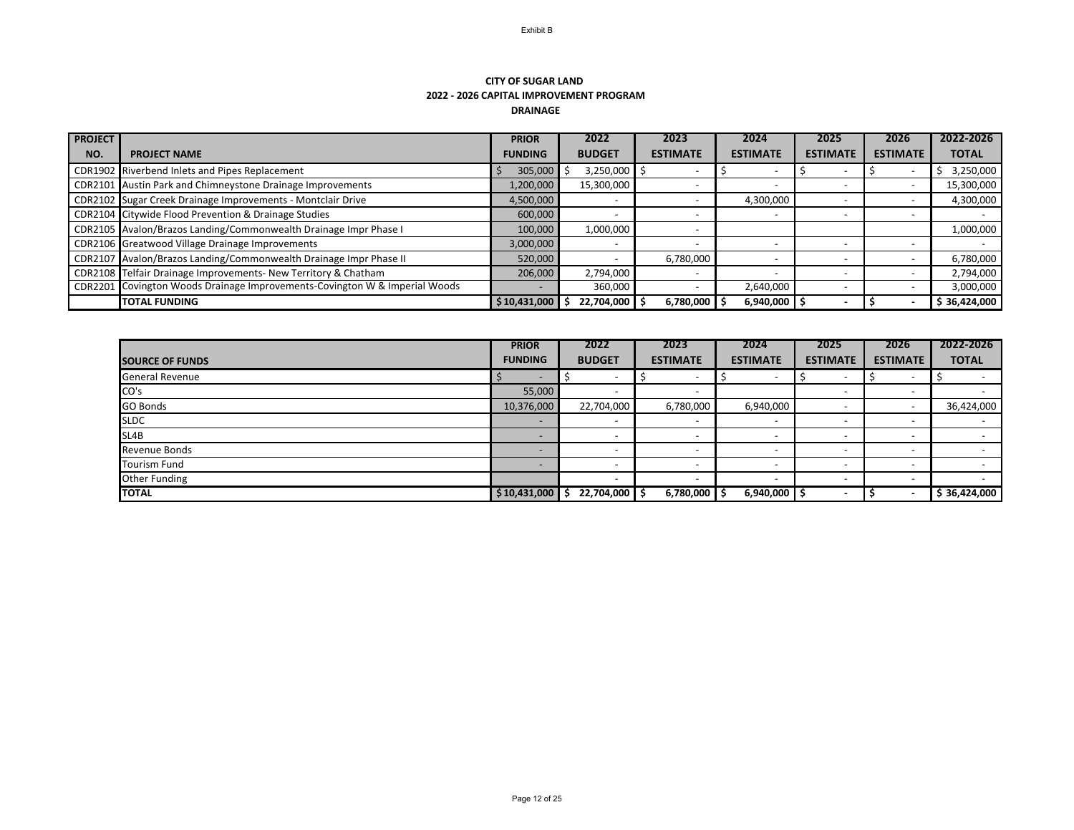#### **CITY OF SUGAR LAND 2022 - 2026 CAPITAL IMPROVEMENT PROGRAM DRAINAGE**

| <b>PROJECT</b> |                                                                            | <b>PRIOR</b>   | 2022          | 2023                     | 2024            | 2025            | 2026            | 2022-2026    |
|----------------|----------------------------------------------------------------------------|----------------|---------------|--------------------------|-----------------|-----------------|-----------------|--------------|
| NO.            | <b>PROJECT NAME</b>                                                        | <b>FUNDING</b> | <b>BUDGET</b> | <b>ESTIMATE</b>          | <b>ESTIMATE</b> | <b>ESTIMATE</b> | <b>ESTIMATE</b> | <b>TOTAL</b> |
|                | CDR1902 Riverbend Inlets and Pipes Replacement                             | 305,000        | 3,250,000     |                          |                 |                 |                 | 3,250,000    |
|                | CDR2101 Austin Park and Chimneystone Drainage Improvements                 | 1,200,000      | 15,300,000    |                          |                 |                 |                 | 15,300,000   |
|                | CDR2102 Sugar Creek Drainage Improvements - Montclair Drive                | 4,500,000      |               |                          | 4,300,000       |                 |                 | 4,300,000    |
|                | CDR2104 Citywide Flood Prevention & Drainage Studies                       | 600,000        |               |                          |                 |                 |                 |              |
|                | CDR2105 Avalon/Brazos Landing/Commonwealth Drainage Impr Phase I           | 100,000        | 1,000,000     |                          |                 |                 |                 | 1,000,000    |
|                | CDR2106 Greatwood Village Drainage Improvements                            | 3,000,000      |               | $\overline{\phantom{0}}$ |                 |                 |                 |              |
|                | CDR2107 Avalon/Brazos Landing/Commonwealth Drainage Impr Phase II          | 520,000        |               | 6,780,000                |                 |                 |                 | 6,780,000    |
|                | CDR2108 Telfair Drainage Improvements- New Territory & Chatham             | 206,000        | 2,794,000     | $\overline{\phantom{0}}$ |                 |                 |                 | 2,794,000    |
|                | CDR2201 Covington Woods Drainage Improvements-Covington W & Imperial Woods |                | 360,000       | $\overline{\phantom{0}}$ | 2,640,000       |                 |                 | 3,000,000    |
|                | <b>TOTAL FUNDING</b>                                                       | \$10,431,000   | 22,704,000 \$ | $6,780,000$   \$         | $6,940,000$ \$  |                 |                 | \$36,424,000 |

|                        | <b>PRIOR</b>   | 2022                     | 2023                     | 2024                     | 2025                     | 2026                     | 2022-2026                |
|------------------------|----------------|--------------------------|--------------------------|--------------------------|--------------------------|--------------------------|--------------------------|
| <b>SOURCE OF FUNDS</b> | <b>FUNDING</b> | <b>BUDGET</b>            | <b>ESTIMATE</b>          | <b>ESTIMATE</b>          | <b>ESTIMATE</b>          | <b>ESTIMATE</b>          | <b>TOTAL</b>             |
| <b>General Revenue</b> |                | $\overline{\phantom{0}}$ | $\overline{\phantom{0}}$ |                          | $\overline{\phantom{0}}$ | $\overline{\phantom{0}}$ |                          |
| CO's                   | 55,000         | $\overline{\phantom{a}}$ |                          |                          |                          |                          |                          |
| GO Bonds               | 10,376,000     | 22,704,000               | 6,780,000                | 6,940,000                | $\overline{\phantom{0}}$ |                          | 36,424,000               |
| <b>SLDC</b>            |                | $\overline{\phantom{a}}$ |                          |                          |                          |                          |                          |
| SL <sub>4</sub> B      |                | $\overline{\phantom{a}}$ | $\overline{\phantom{0}}$ |                          | $\overline{\phantom{0}}$ | $\overline{\phantom{0}}$ |                          |
| Revenue Bonds          |                | $\overline{\phantom{0}}$ | $\overline{\phantom{0}}$ | $\overline{\phantom{a}}$ | $\overline{\phantom{0}}$ | $\overline{\phantom{0}}$ | $\overline{\phantom{0}}$ |
| <b>Tourism Fund</b>    |                | $\overline{\phantom{a}}$ |                          |                          | $\overline{\phantom{0}}$ | <b>1</b>                 |                          |
| <b>Other Funding</b>   |                | $\overline{\phantom{0}}$ | $\overline{\phantom{0}}$ |                          | $\overline{\phantom{0}}$ | $\overline{\phantom{a}}$ |                          |
| <b>TOTAL</b>           | \$10,431,000   | 22,704,000<br>\$         | $6,780,000$   \$         | 6,940,000                | $\overline{\phantom{a}}$ |                          | \$36,424,000             |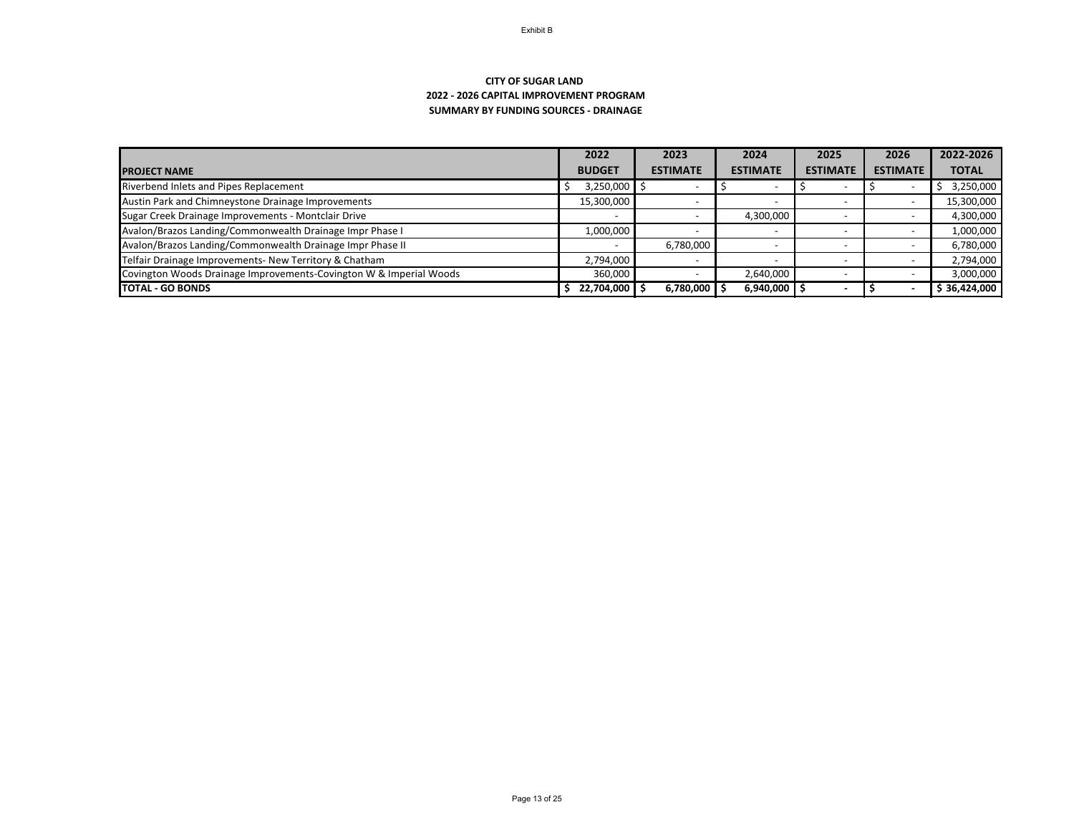## **SUMMARY BY FUNDING SOURCES - DRAINAGE CITY OF SUGAR LAND 2022 - 2026 CAPITAL IMPROVEMENT PROGRAM**

|                                                                    | 2022                     | 2023            | 2024                     | 2025                     | 2026            | 2022-2026    |
|--------------------------------------------------------------------|--------------------------|-----------------|--------------------------|--------------------------|-----------------|--------------|
| <b>PROJECT NAME</b>                                                | <b>BUDGET</b>            | <b>ESTIMATE</b> | <b>ESTIMATE</b>          | <b>ESTIMATE</b>          | <b>ESTIMATE</b> | <b>TOTAL</b> |
| Riverbend Inlets and Pipes Replacement                             | 3,250,000                |                 |                          |                          |                 | 3,250,000    |
| Austin Park and Chimneystone Drainage Improvements                 | 15,300,000               |                 |                          |                          |                 | 15,300,000   |
| Sugar Creek Drainage Improvements - Montclair Drive                | $\overline{\phantom{0}}$ |                 | 4,300,000                |                          |                 | 4,300,000    |
| Avalon/Brazos Landing/Commonwealth Drainage Impr Phase I           | 1,000,000                |                 | $\overline{\phantom{a}}$ | $\overline{\phantom{0}}$ |                 | 1,000,000    |
| Avalon/Brazos Landing/Commonwealth Drainage Impr Phase II          |                          | 6,780,000       |                          |                          |                 | 6,780,000    |
| Telfair Drainage Improvements- New Territory & Chatham             | 2,794,000                |                 |                          |                          |                 | 2,794,000    |
| Covington Woods Drainage Improvements-Covington W & Imperial Woods | 360,000                  |                 | 2,640,000                |                          |                 | 3,000,000    |
| <b>TOTAL - GO BONDS</b>                                            | 22,704,000               | 6,780,000       | 6,940,000                |                          |                 | \$36,424,000 |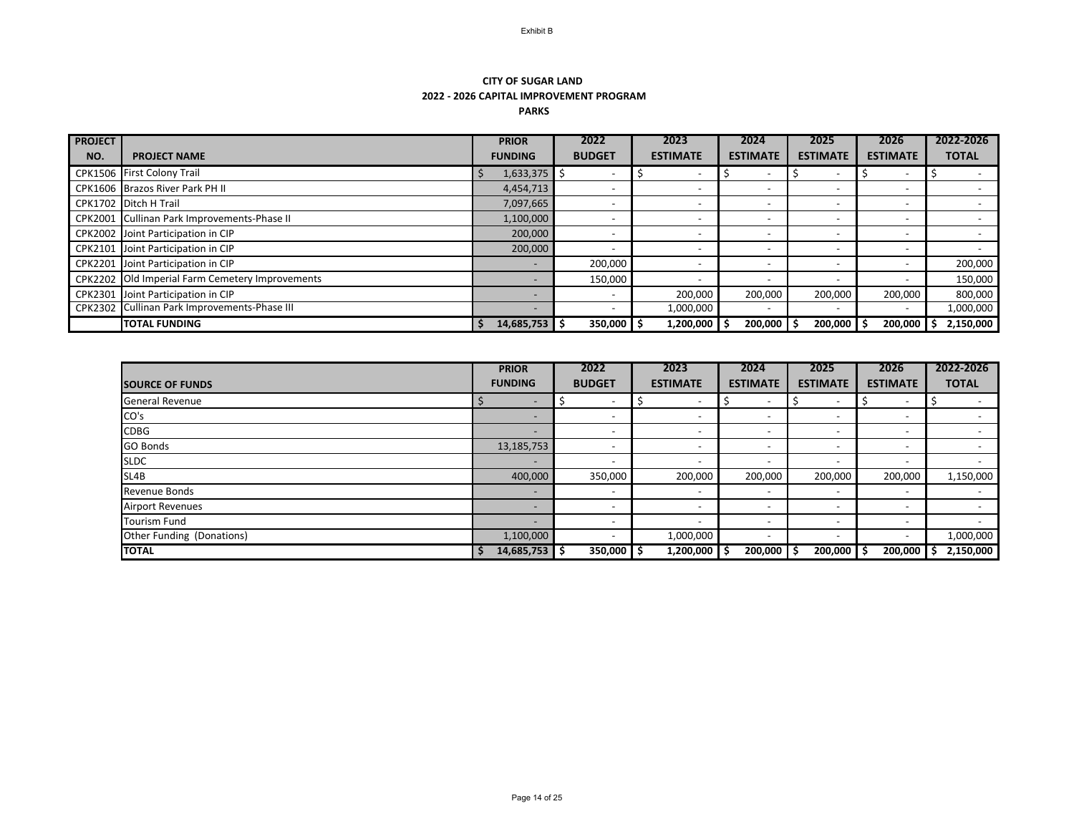## **CITY OF SUGAR LAND 2022 - 2026 CAPITAL IMPROVEMENT PROGRAM PARKS**

| <b>PROJECT</b> |                                                 | <b>PRIOR</b>             | 2022          | 2023                     | 2024                     | 2025                     | 2026                     | 2022-2026    |
|----------------|-------------------------------------------------|--------------------------|---------------|--------------------------|--------------------------|--------------------------|--------------------------|--------------|
| NO.            | <b>PROJECT NAME</b>                             | <b>FUNDING</b>           | <b>BUDGET</b> | <b>ESTIMATE</b>          | <b>ESTIMATE</b>          | <b>ESTIMATE</b>          | <b>ESTIMATE</b>          | <b>TOTAL</b> |
|                | CPK1506 First Colony Trail                      | $1,633,375$ \$           |               |                          |                          | $\overline{\phantom{0}}$ | $\overline{\phantom{0}}$ |              |
|                | CPK1606 Brazos River Park PH II                 | 4,454,713                |               |                          | $\overline{\phantom{a}}$ |                          |                          |              |
|                | CPK1702 Ditch H Trail                           | 7,097,665                |               |                          | $\overline{a}$           |                          |                          |              |
| CPK2001        | Cullinan Park Improvements-Phase II             | 1,100,000                |               |                          | $\overline{\phantom{0}}$ | $\overline{\phantom{0}}$ | $\overline{\phantom{0}}$ |              |
|                | CPK2002 Joint Participation in CIP              | 200,000                  |               | $\overline{\phantom{0}}$ | $\overline{\phantom{a}}$ |                          |                          |              |
| CPK2101        | Joint Participation in CIP                      | 200,000                  |               | $\overline{\phantom{0}}$ | $\overline{\phantom{a}}$ | $\overline{\phantom{0}}$ | $\overline{\phantom{0}}$ |              |
|                | CPK2201 Joint Participation in CIP              |                          | 200,000       |                          | $\overline{\phantom{a}}$ |                          |                          | 200,000      |
|                | CPK2202 Old Imperial Farm Cemetery Improvements |                          | 150,000       |                          |                          |                          |                          | 150,000      |
| <b>CPK2301</b> | Joint Participation in CIP                      |                          |               | 200,000                  | 200,000                  | 200,000                  | 200,000                  | 800,000      |
|                | CPK2302 Cullinan Park Improvements-Phase III    | $\overline{\phantom{0}}$ |               | 1,000,000                | $\overline{\phantom{0}}$ | $\overline{\phantom{0}}$ | $\overline{\phantom{0}}$ | 1,000,000    |
|                | <b>TOTAL FUNDING</b>                            | $14,685,753$ \$          | 350,000       | 1,200,000                | 200,000                  | 200,000                  | 200,000                  | 2,150,000    |

|                           | <b>PRIOR</b>             | 2022                     | 2023                         | 2024                     | 2025                     | 2026                     | 2022-2026       |
|---------------------------|--------------------------|--------------------------|------------------------------|--------------------------|--------------------------|--------------------------|-----------------|
| <b>SOURCE OF FUNDS</b>    | <b>FUNDING</b>           | <b>BUDGET</b>            | <b>ESTIMATE</b>              | <b>ESTIMATE</b>          | <b>ESTIMATE</b>          | <b>ESTIMATE</b>          | <b>TOTAL</b>    |
| <b>General Revenue</b>    | $\overline{\phantom{0}}$ | $\overline{\phantom{a}}$ | $\overline{\phantom{0}}$     | $\overline{\phantom{0}}$ | $\overline{\phantom{0}}$ |                          |                 |
| CO's                      |                          | $\overline{\phantom{a}}$ | $\overline{\phantom{0}}$     | $\overline{\phantom{0}}$ | $\overline{\phantom{0}}$ | $\overline{\phantom{0}}$ |                 |
| <b>CDBG</b>               | $\overline{\phantom{0}}$ | $\overline{\phantom{a}}$ | $\overline{\phantom{0}}$     | $\overline{\phantom{a}}$ | $\overline{\phantom{0}}$ |                          |                 |
| <b>GO Bonds</b>           | 13,185,753               | $\overline{\phantom{a}}$ | $\qquad \qquad \blacksquare$ | $\overline{\phantom{0}}$ | $\overline{\phantom{0}}$ | $\overline{\phantom{0}}$ |                 |
| <b>SLDC</b>               |                          | $\overline{\phantom{a}}$ | $\overline{\phantom{a}}$     | $\overline{\phantom{0}}$ | $\overline{\phantom{0}}$ |                          |                 |
| SL4B                      | 400,000                  | 350,000                  | 200,000                      | 200,000                  | 200,000                  | 200,000                  | 1,150,000       |
| <b>Revenue Bonds</b>      | $\overline{\phantom{0}}$ | $\overline{\phantom{a}}$ | $\overline{\phantom{a}}$     | $\overline{\phantom{0}}$ | $\overline{\phantom{0}}$ | $\overline{\phantom{0}}$ |                 |
| <b>Airport Revenues</b>   |                          | $\overline{\phantom{a}}$ | $\overline{\phantom{a}}$     | $\overline{\phantom{a}}$ | $\overline{\phantom{0}}$ |                          |                 |
| <b>Tourism Fund</b>       | $\overline{\phantom{0}}$ | $\overline{\phantom{0}}$ | $\overline{\phantom{a}}$     | $\overline{\phantom{0}}$ | $\overline{\phantom{0}}$ | $\overline{\phantom{0}}$ |                 |
| Other Funding (Donations) | 1,100,000                | $\overline{\phantom{a}}$ | 1,000,000                    | $\overline{\phantom{0}}$ | $\overline{\phantom{0}}$ |                          | 1,000,000       |
| <b>TOTAL</b>              | $14,685,753$ \$          | $350,000$ $\frac{1}{5}$  | $1,200,000$   \$             | $200,000$   \$           | $200,000$   \$           | 200,000                  | 2,150,000<br>\$ |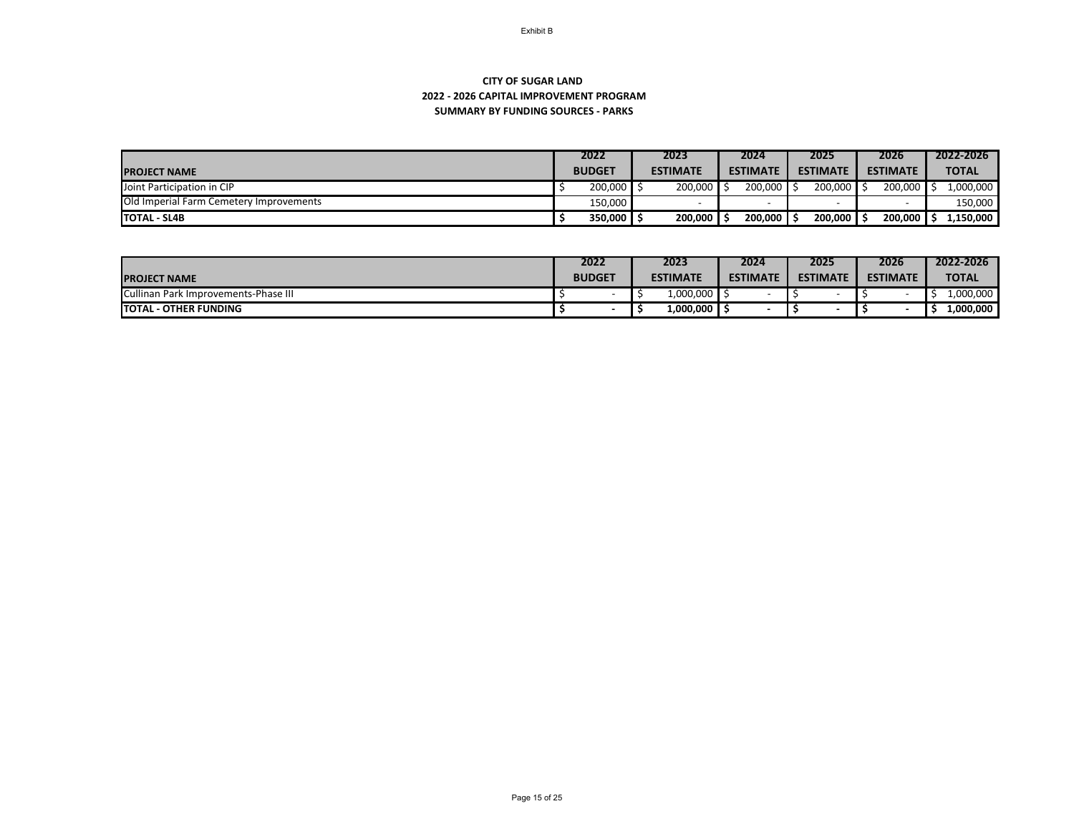## **SUMMARY BY FUNDING SOURCES - PARKS CITY OF SUGAR LAND 2022 - 2026 CAPITAL IMPROVEMENT PROGRAM**

|                                         | 2022          | 2023            | 2024            | 2025            | 2026            | 2022-2026    |
|-----------------------------------------|---------------|-----------------|-----------------|-----------------|-----------------|--------------|
| <b>PROJECT NAME</b>                     | <b>BUDGET</b> | <b>ESTIMATE</b> | <b>ESTIMATE</b> | <b>ESTIMATE</b> | <b>ESTIMATE</b> | <b>TOTAL</b> |
| <b>Joint Participation in CIP</b>       | 200,000       | $200,000$ \$    | $200,000$ \ \$  | $200,000$ \$    | 200,000         | 1,000,000    |
| Old Imperial Farm Cemetery Improvements | 150,000       |                 |                 |                 |                 | 150,000      |
| <b>TOTAL - SL4B</b>                     | 350,000       | $200,000$   \$  | 200,000         | 200,000         | 200,000         | 1,150,000    |

|                                      | 2022          | 2023            | 2024            | 2025            | 2026            | 2022-2026    |
|--------------------------------------|---------------|-----------------|-----------------|-----------------|-----------------|--------------|
| <b>PROJECT NAME</b>                  | <b>BUDGET</b> | <b>ESTIMATE</b> | <b>ESTIMATE</b> | <b>ESTIMATE</b> | <b>ESTIMATE</b> | <b>TOTAL</b> |
| Cullinan Park Improvements-Phase III |               | 1,000,000       |                 |                 |                 | 1,000,000    |
| <b>TOTAL - OTHER FUNDING</b>         |               | 1,000,000       |                 |                 |                 | 1,000,000    |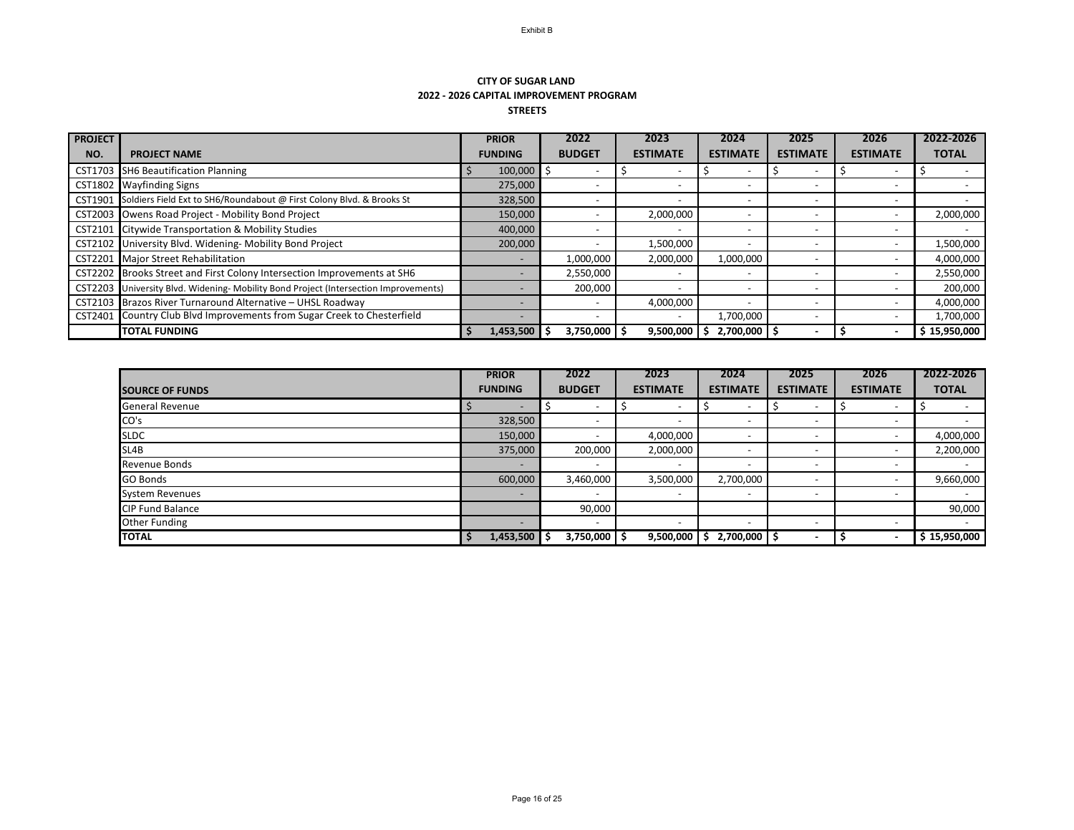#### **CITY OF SUGAR LAND 2022 - 2026 CAPITAL IMPROVEMENT PROGRAM STREETS**

| <b>PROJECT</b> |                                                                                      | <b>PRIOR</b>   |         | 2023<br>2022   |                 | 2024                      | 2025            | 2026                     | 2022-2026    |
|----------------|--------------------------------------------------------------------------------------|----------------|---------|----------------|-----------------|---------------------------|-----------------|--------------------------|--------------|
| NO.            | <b>PROJECT NAME</b>                                                                  | <b>FUNDING</b> |         | <b>BUDGET</b>  | <b>ESTIMATE</b> | <b>ESTIMATE</b>           | <b>ESTIMATE</b> | <b>ESTIMATE</b>          | <b>TOTAL</b> |
| CST1703        | <b>SH6 Beautification Planning</b>                                                   |                | 100,000 |                |                 | $\overline{\phantom{0}}$  |                 | $\overline{\phantom{0}}$ |              |
| CST1802        | <b>Wayfinding Signs</b>                                                              | 275,000        |         |                |                 |                           |                 |                          |              |
|                | CST1901 Soldiers Field Ext to SH6/Roundabout @ First Colony Blvd. & Brooks St        | 328,500        |         |                |                 |                           |                 | $\overline{\phantom{0}}$ |              |
|                | CST2003 Owens Road Project - Mobility Bond Project                                   | 150,000        |         |                | 2,000,000       | $\overline{\phantom{0}}$  |                 |                          | 2,000,000    |
|                | CST2101 Citywide Transportation & Mobility Studies                                   | 400,000        |         |                |                 | ۰                         |                 | $\overline{\phantom{0}}$ |              |
|                | CST2102 University Blvd. Widening- Mobility Bond Project                             | 200,000        |         |                | 1,500,000       |                           |                 |                          | 1,500,000    |
| CST2201        | Major Street Rehabilitation                                                          |                |         | 1,000,000      | 2,000,000       | 1,000,000                 |                 |                          | 4,000,000    |
| CST2202        | Brooks Street and First Colony Intersection Improvements at SH6                      |                |         | 2,550,000      |                 |                           |                 |                          | 2,550,000    |
|                | CST2203 University Blvd. Widening- Mobility Bond Project (Intersection Improvements) |                |         | 200,000        |                 | $\overline{\phantom{0}}$  |                 | $\overline{\phantom{0}}$ | 200,000      |
| CST2103        | Brazos River Turnaround Alternative - UHSL Roadway                                   |                |         |                | 4,000,000       |                           |                 |                          | 4,000,000    |
| CST2401        | Country Club Blvd Improvements from Sugar Creek to Chesterfield                      |                |         |                |                 | 1,700,000                 |                 |                          | 1,700,000    |
|                | <b>TOTAL FUNDING</b>                                                                 | 1,453,500      |         | $3,750,000$ \$ | 9,500,000       | $2,700,000$ $\uparrow$ \$ |                 |                          | \$15,950,000 |

|                         | <b>PRIOR</b>             | 2022                     | 2023                     | 2024                     | 2025                     | 2026                     | 2022-2026    |
|-------------------------|--------------------------|--------------------------|--------------------------|--------------------------|--------------------------|--------------------------|--------------|
| <b>SOURCE OF FUNDS</b>  | <b>FUNDING</b>           | <b>BUDGET</b>            | <b>ESTIMATE</b>          | <b>ESTIMATE</b>          | <b>ESTIMATE</b>          | <b>ESTIMATE</b>          | <b>TOTAL</b> |
| <b>General Revenue</b>  |                          | $\overline{\phantom{0}}$ | $\overline{\phantom{0}}$ | $\overline{\phantom{a}}$ | $\overline{\phantom{0}}$ |                          |              |
| CO's                    | 328,500                  | $\overline{\phantom{0}}$ | $\overline{\phantom{0}}$ | $\overline{\phantom{a}}$ | $\overline{\phantom{a}}$ | $\overline{\phantom{0}}$ |              |
| <b>SLDC</b>             | 150,000                  | $\overline{\phantom{0}}$ | 4,000,000                | $\overline{\phantom{0}}$ | $\overline{\phantom{a}}$ |                          | 4,000,000    |
| SL4B                    | 375,000                  | 200,000                  | 2,000,000                | $\overline{\phantom{a}}$ | $\overline{\phantom{a}}$ |                          | 2,200,000    |
| <b>Revenue Bonds</b>    | $\overline{\phantom{0}}$ | $\overline{\phantom{0}}$ | $\overline{\phantom{a}}$ | $\overline{\phantom{a}}$ | $\overline{\phantom{a}}$ | $\overline{\phantom{0}}$ |              |
| <b>GO Bonds</b>         | 600,000                  | 3,460,000                | 3,500,000                | 2,700,000                | $\overline{\phantom{a}}$ |                          | 9,660,000    |
| <b>System Revenues</b>  |                          |                          | $\overline{\phantom{a}}$ | $\overline{\phantom{a}}$ | $\overline{\phantom{a}}$ |                          |              |
| <b>CIP Fund Balance</b> |                          | 90,000                   |                          |                          |                          |                          | 90,000       |
| <b>Other Funding</b>    |                          | $\overline{\phantom{0}}$ | $\overline{\phantom{a}}$ | $\overline{\phantom{a}}$ | $\overline{\phantom{a}}$ | $\overline{\phantom{0}}$ |              |
| <b>TOTAL</b>            | 1,453,500<br><b>S</b>    | $3,750,000$   \$         | 9,500,000                | 2,700,000                |                          |                          | \$15,950,000 |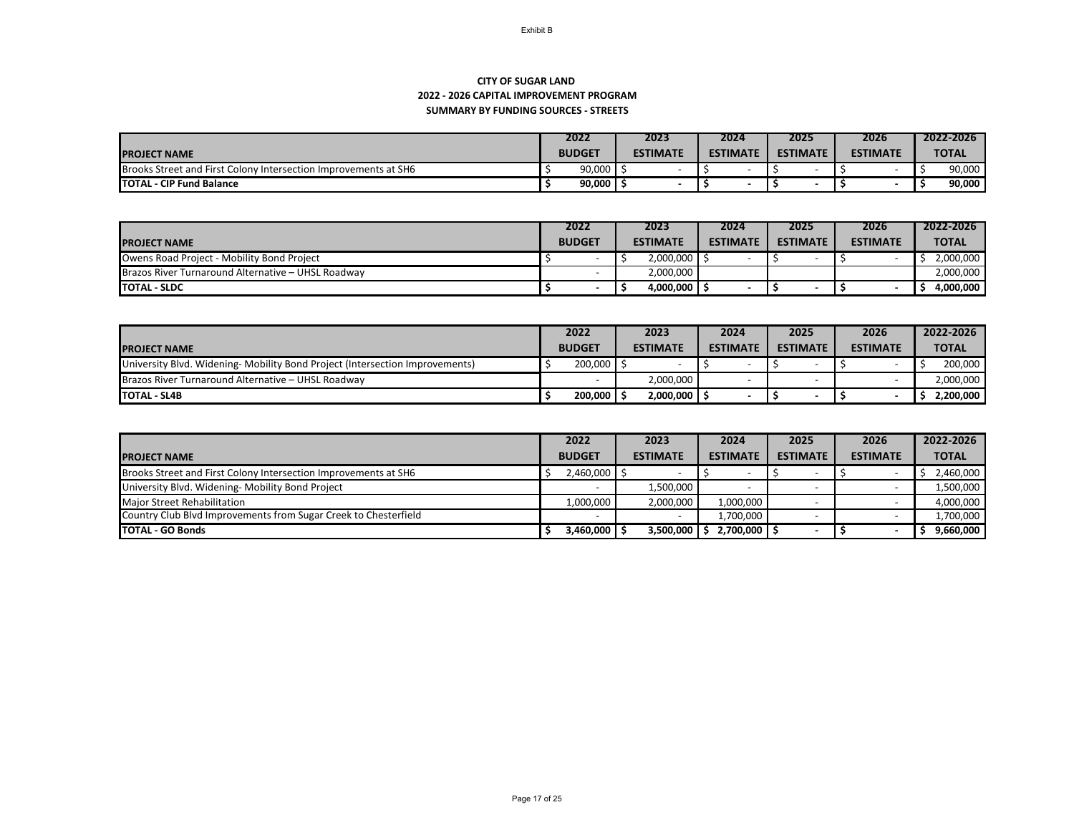## **SUMMARY BY FUNDING SOURCES - STREETS CITY OF SUGAR LAND 2022 - 2026 CAPITAL IMPROVEMENT PROGRAM**

|                                                                        | 2022          | 2023            | 2024            | 2025            | 2026            | 2022-2026    |
|------------------------------------------------------------------------|---------------|-----------------|-----------------|-----------------|-----------------|--------------|
| <b>IPROJECT NAME</b>                                                   | <b>BUDGET</b> | <b>ESTIMATE</b> | <b>ESTIMATE</b> | <b>ESTIMATE</b> | <b>ESTIMATE</b> | <b>TOTAL</b> |
| <b>Brooks Street and First Colony Intersection Improvements at SH6</b> | 90,000        |                 |                 |                 |                 | 90,000       |
| <b>TOTAL - CIP Fund Balance</b>                                        | 90,000        |                 |                 |                 |                 | 90,000       |

|                                                    | 2022          |  | 2023                       |                 | 2024 | 2025 |                          | 2026 |                 | 2022-2026    |
|----------------------------------------------------|---------------|--|----------------------------|-----------------|------|------|--------------------------|------|-----------------|--------------|
| <b>IPROJECT NAME</b>                               | <b>BUDGET</b> |  | <b>ESTIMATE</b>            | <b>ESTIMATE</b> |      |      | <b>ESTIMATE</b>          |      | <b>ESTIMATE</b> | <b>TOTAL</b> |
| Owens Road Project - Mobility Bond Project         |               |  | $2,000,000$ $\downarrow$   |                 |      |      |                          |      |                 | 2,000,000    |
| Brazos River Turnaround Alternative - UHSL Roadway |               |  | 2,000,000                  |                 |      |      |                          |      |                 | 2,000,000    |
| <b>ITOTAL - SLDC</b>                               |               |  | $4,000,000$ $\parallel$ \$ |                 |      |      | $\overline{\phantom{a}}$ |      |                 | 4,000,000    |

|                                                                              | 2022          | 2023             | 2024            | 2025            | 2026            | 2022-2026    |
|------------------------------------------------------------------------------|---------------|------------------|-----------------|-----------------|-----------------|--------------|
| <b>IPROJECT NAME</b>                                                         | <b>BUDGET</b> | <b>ESTIMATE</b>  | <b>ESTIMATE</b> | <b>ESTIMATE</b> | <b>ESTIMATE</b> | <b>TOTAL</b> |
| University Blvd. Widening- Mobility Bond Project (Intersection Improvements) | $200,000$ S   |                  |                 |                 |                 | 200,000      |
| Brazos River Turnaround Alternative - UHSL Roadway                           |               | 2,000,000        |                 |                 |                 | 2,000,000    |
| <b>TOTAL - SL4B</b>                                                          | $200,000$   9 | $2,000,000$ \ \$ |                 |                 |                 | 2,200,000    |

|                                                                 | 2022                       | 2023            | 2024            | 2025            | 2026            | 2022-2026    |
|-----------------------------------------------------------------|----------------------------|-----------------|-----------------|-----------------|-----------------|--------------|
| <b>PROJECT NAME</b>                                             | <b>BUDGET</b>              | <b>ESTIMATE</b> | <b>ESTIMATE</b> | <b>ESTIMATE</b> | <b>ESTIMATE</b> | <b>TOTAL</b> |
| Brooks Street and First Colony Intersection Improvements at SH6 | $2,460,000$ $\parallel$ \$ |                 |                 |                 |                 | 2,460,000    |
| University Blvd. Widening- Mobility Bond Project                |                            | 1,500,000       |                 |                 |                 | 1,500,000    |
| Major Street Rehabilitation                                     | 1,000,000                  | 2,000,000       | 1,000,000       |                 |                 | 4,000,000    |
| Country Club Blvd Improvements from Sugar Creek to Chesterfield |                            |                 | 1,700,000       |                 |                 | 1,700,000    |
| <b>ITOTAL - GO Bonds</b>                                        | $3,460,000$ \ \$           | 3,500,000       | $2,700,000$ \$  |                 |                 | 9,660,000    |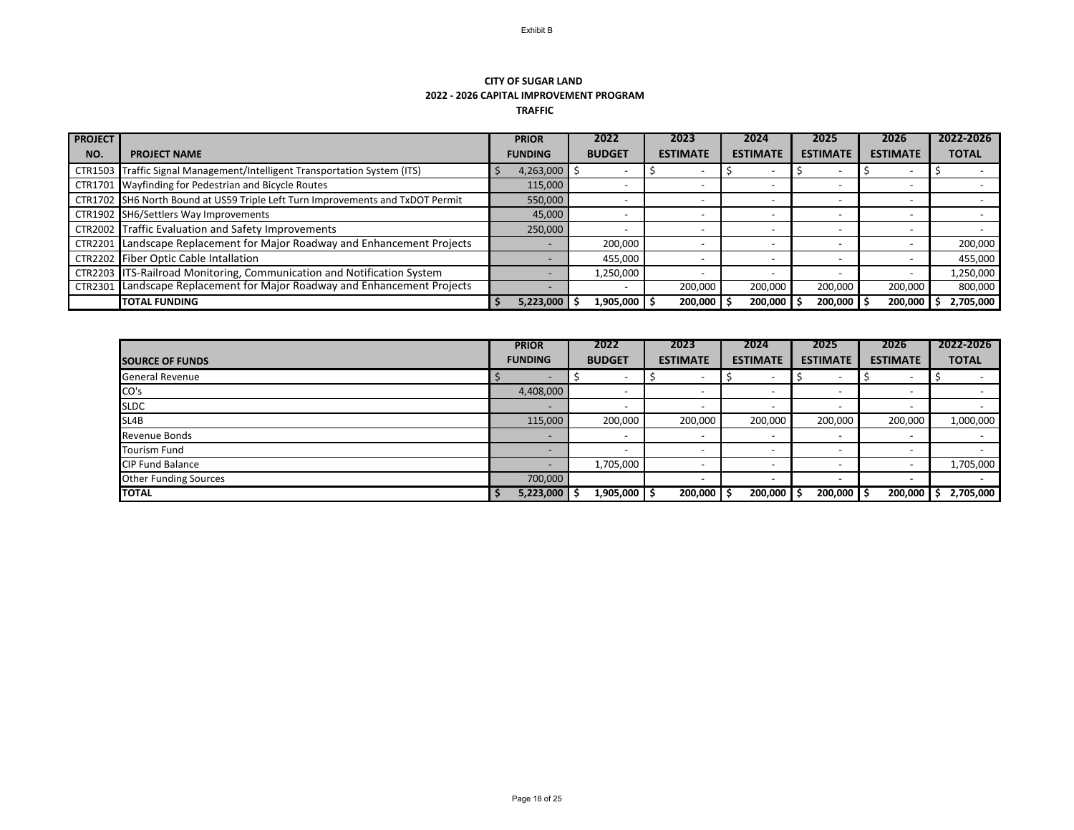## **CITY OF SUGAR LAND 2022 - 2026 CAPITAL IMPROVEMENT PROGRAM TRAFFIC**

| <b>PROJECT</b>          |                                                                                | <b>PRIOR</b>         | 2022          | 2023            | 2024                     | 2025            | 2026                     | 2022-2026    |
|-------------------------|--------------------------------------------------------------------------------|----------------------|---------------|-----------------|--------------------------|-----------------|--------------------------|--------------|
| NO.                     | <b>PROJECT NAME</b>                                                            | <b>FUNDING</b>       | <b>BUDGET</b> | <b>ESTIMATE</b> | <b>ESTIMATE</b>          | <b>ESTIMATE</b> | <b>ESTIMATE</b>          | <b>TOTAL</b> |
| <b>CTR1503</b> $\Gamma$ | Traffic Signal Management/Intelligent Transportation System (ITS)              | 4,263,000 $\vert$ \$ |               |                 | $\overline{\phantom{0}}$ |                 |                          |              |
|                         | CTR1701 Wayfinding for Pedestrian and Bicycle Routes                           | 115,000              |               |                 | $\overline{\phantom{0}}$ |                 | $\overline{\phantom{0}}$ |              |
|                         | CTR1702 SH6 North Bound at US59 Triple Left Turn Improvements and TxDOT Permit | 550,000              |               |                 |                          |                 |                          |              |
|                         | CTR1902 SH6/Settlers Way Improvements                                          | 45,000               |               |                 |                          |                 |                          |              |
|                         | CTR2002 Traffic Evaluation and Safety Improvements                             | 250,000              |               |                 |                          |                 |                          |              |
|                         | CTR2201 Landscape Replacement for Major Roadway and Enhancement Projects       |                      | 200,000       |                 |                          |                 |                          | 200,000      |
|                         | CTR2202 Fiber Optic Cable Intallation                                          |                      | 455,000       |                 |                          |                 |                          | 455,000      |
|                         | CTR2203 ITS-Railroad Monitoring, Communication and Notification System         |                      | 1,250,000     |                 |                          |                 |                          | 1,250,000    |
| CTR2301                 | Landscape Replacement for Major Roadway and Enhancement Projects               |                      |               | 200,000         | 200,000                  | 200,000         | 200,000                  | 800,000      |
|                         | <b>TOTAL FUNDING</b>                                                           | 5,223,000            | 1,905,000     | 200,000         | 200,000                  | 200,000         | 200,000                  | 2,705,000    |

|                              | <b>PRIOR</b>             | 2022                     | 2023            | 2024                     | 2025                     | 2026                     | 2022-2026    |
|------------------------------|--------------------------|--------------------------|-----------------|--------------------------|--------------------------|--------------------------|--------------|
| <b>SOURCE OF FUNDS</b>       | <b>FUNDING</b>           | <b>BUDGET</b>            | <b>ESTIMATE</b> | <b>ESTIMATE</b>          | <b>ESTIMATE</b>          | <b>ESTIMATE</b>          | <b>TOTAL</b> |
| <b>General Revenue</b>       |                          | $\overline{\phantom{0}}$ |                 | $\overline{\phantom{0}}$ | $\overline{\phantom{0}}$ | $\overline{\phantom{0}}$ |              |
| CO's                         | 4,408,000                | $\overline{\phantom{0}}$ |                 |                          | ۰                        |                          |              |
| <b>SLDC</b>                  | $\overline{\phantom{0}}$ | $\overline{\phantom{0}}$ |                 | $\overline{\phantom{0}}$ | $\overline{\phantom{0}}$ | $\overline{\phantom{0}}$ |              |
| SL4B                         | 115,000                  | 200,000                  | 200,000         | 200,000                  | 200,000                  | 200,000                  | 1,000,000    |
| Revenue Bonds                |                          | $\overline{\phantom{0}}$ |                 | $\overline{\phantom{0}}$ | $\overline{\phantom{a}}$ | $\overline{\phantom{a}}$ |              |
| <b>Tourism Fund</b>          |                          | $\overline{\phantom{0}}$ |                 | $\overline{\phantom{0}}$ | $\overline{\phantom{0}}$ | $\overline{\phantom{0}}$ |              |
| <b>CIP Fund Balance</b>      |                          | 1,705,000                |                 | $\overline{\phantom{0}}$ |                          |                          | 1,705,000    |
| <b>Other Funding Sources</b> | 700,000                  |                          |                 | $\overline{\phantom{0}}$ | $\overline{\phantom{0}}$ | $\overline{\phantom{0}}$ |              |
| <b>TOTAL</b>                 | 5,223,000<br>э           | $1,905,000$ \$           | $200,000$   \$  | $200,000$ $\frac{1}{5}$  | $200,000$   \$           | 200,000                  | 2,705,000    |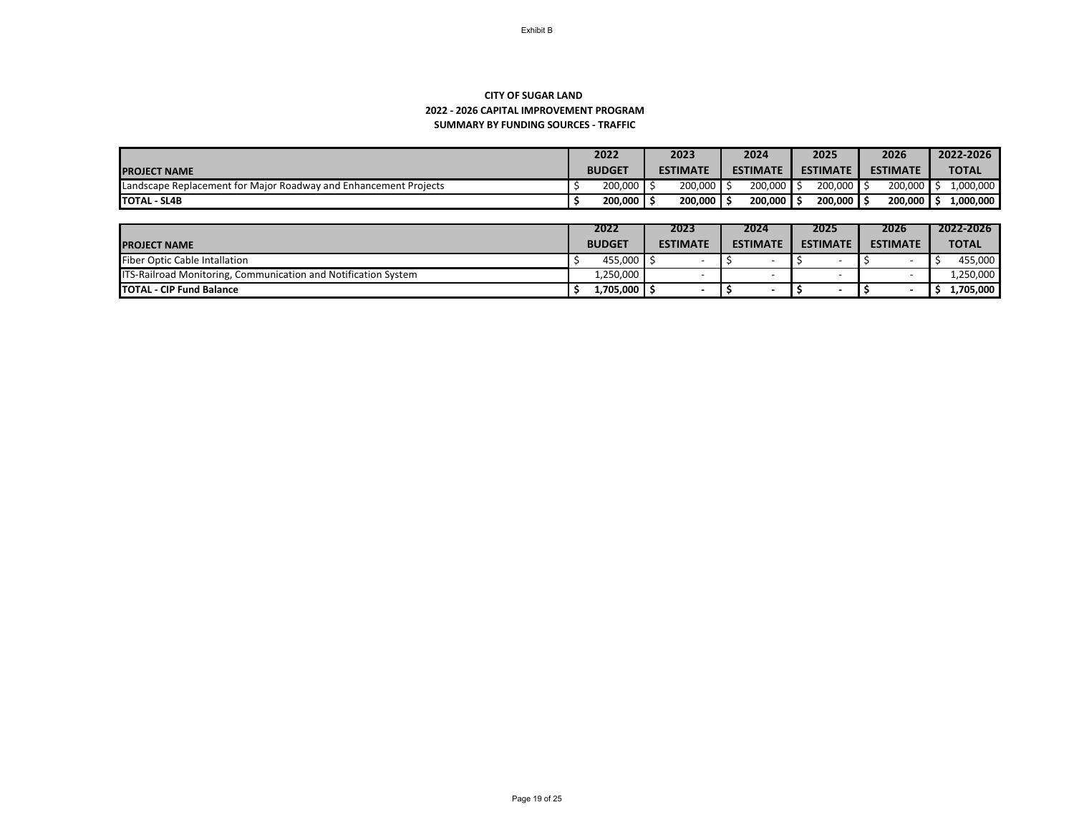## **SUMMARY BY FUNDING SOURCES - TRAFFIC CITY OF SUGAR LAND 2022 - 2026 CAPITAL IMPROVEMENT PROGRAM**

|                                                                  |  | 2022          | 2023                | 2024                 | 2025            | 2026            | 2022-2026    |
|------------------------------------------------------------------|--|---------------|---------------------|----------------------|-----------------|-----------------|--------------|
| <b>PROJECT NAME</b>                                              |  | <b>BUDGET</b> | <b>ESTIMATE</b>     | <b>ESTIMATE</b>      | <b>ESTIMATE</b> | <b>ESTIMATE</b> | <b>TOTAL</b> |
| Landscape Replacement for Major Roadway and Enhancement Projects |  | 200,000       | $200,000$ $\mid$ \$ | $200,000$ $\vert$ \$ | $200,000$ :     | 200,000         | 1,000,000    |
| <b>TOTAL - SL4B</b>                                              |  | 200,000       | $200,000$ .         | $200,000$ S          | 200,000         | 200,000         | 1,000,000    |

|                                                                       | 2022          | 2023            |  | 2024            |  | 2025            | 2026 |                 | 2022-2026        |
|-----------------------------------------------------------------------|---------------|-----------------|--|-----------------|--|-----------------|------|-----------------|------------------|
| <b>PROJECT NAME</b>                                                   | <b>BUDGET</b> | <b>ESTIMATE</b> |  | <b>ESTIMATE</b> |  | <b>ESTIMATE</b> |      | <b>ESTIMATE</b> | <b>TOTAL</b>     |
| <b>Fiber Optic Cable Intallation</b>                                  | 455,000       |                 |  |                 |  |                 |      |                 | 455,000          |
| <b>ITS-Railroad Monitoring, Communication and Notification System</b> | 1,250,000     |                 |  |                 |  |                 |      |                 | ,250,000         |
| <b>TOTAL - CIP Fund Balance</b>                                       | 1,705,000     |                 |  |                 |  |                 |      |                 | <b>1,705,000</b> |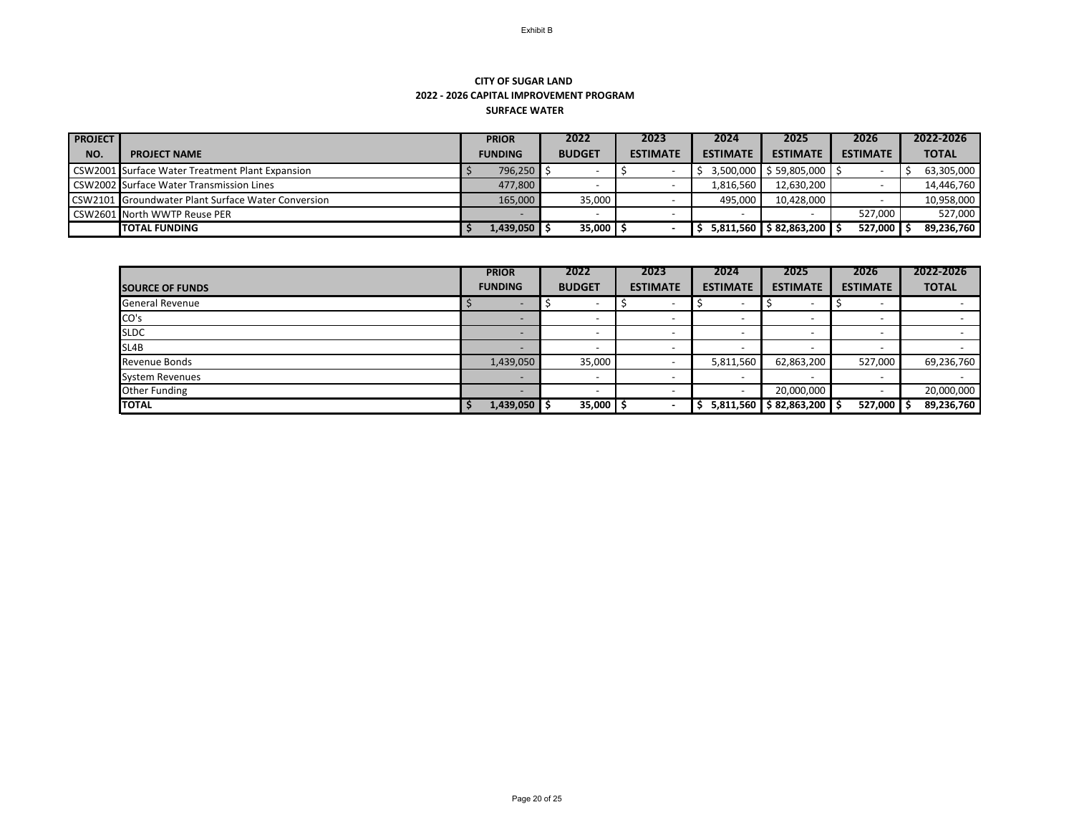## **CITY OF SUGAR LAND 2022 - 2026 CAPITAL IMPROVEMENT PROGRAM SURFACE WATER**

| <b>PROJECT</b> |                                                        | <b>PRIOR</b> |                | 2022          | 2023 |                 | 2024            | 2025                             | 2026            | 2022-2026    |
|----------------|--------------------------------------------------------|--------------|----------------|---------------|------|-----------------|-----------------|----------------------------------|-----------------|--------------|
| NO.            | <b>PROJECT NAME</b>                                    |              | <b>FUNDING</b> | <b>BUDGET</b> |      | <b>ESTIMATE</b> | <b>ESTIMATE</b> | <b>ESTIMATE</b>                  | <b>ESTIMATE</b> | <b>TOTAL</b> |
|                | <b>CSW2001 Surface Water Treatment Plant Expansion</b> |              | 796,250        |               |      |                 |                 | $3,500,000$   \$ 59,805,000   \$ |                 | 63,305,000   |
|                | CSW2002 Surface Water Transmission Lines               |              | 477,800        |               |      |                 | 1,816,560       | 12,630,200                       |                 | 14,446,760   |
|                | CSW2101 Groundwater Plant Surface Water Conversion     |              | 165,000        | 35,000        |      |                 | 495,000         | 10,428,000                       |                 | 10,958,000   |
|                | <b>CSW2601 North WWTP Reuse PER</b>                    |              |                |               |      |                 |                 |                                  | 527,000         | 527,000      |
|                | <b>TOTAL FUNDING</b>                                   |              | 1,439,050      | 35,000        |      |                 | IS.             | 5,811,560   \$ 82,863,200   \$   | 527,000         | 89,236,760   |

|                        | <b>PRIOR</b>             | 2022          | 2023                     | 2024                     | 2025                        | 2026                     | 2022-2026    |
|------------------------|--------------------------|---------------|--------------------------|--------------------------|-----------------------------|--------------------------|--------------|
| <b>SOURCE OF FUNDS</b> | <b>FUNDING</b>           | <b>BUDGET</b> | <b>ESTIMATE</b>          | <b>ESTIMATE</b>          | <b>ESTIMATE</b>             | <b>ESTIMATE</b>          | <b>TOTAL</b> |
| <b>General Revenue</b> | $\overline{\phantom{0}}$ |               | $\overline{\phantom{0}}$ | $\overline{\phantom{0}}$ | $\overline{\phantom{0}}$    | $\overline{\phantom{0}}$ |              |
| CO's                   |                          |               | $\overline{\phantom{0}}$ | $\overline{\phantom{0}}$ | $\overline{\phantom{0}}$    | $\overline{\phantom{0}}$ | $ -$         |
| <b>SLDC</b>            |                          |               | $\overline{\phantom{a}}$ | $\overline{\phantom{0}}$ | $\overline{\phantom{0}}$    | $\overline{\phantom{0}}$ |              |
| SL4B                   |                          |               |                          | $\overline{\phantom{0}}$ | $\overline{\phantom{0}}$    | $\overline{\phantom{0}}$ |              |
| <b>Revenue Bonds</b>   | 1,439,050                | 35,000        |                          | 5,811,560                | 62,863,200                  | 527,000                  | 69,236,760   |
| <b>System Revenues</b> |                          |               | $\overline{\phantom{a}}$ | $\overline{\phantom{0}}$ | $\overline{\phantom{0}}$    | $\overline{\phantom{0}}$ |              |
| <b>Other Funding</b>   |                          |               | $\overline{\phantom{0}}$ | $\overline{\phantom{0}}$ | 20,000,000                  | $\overline{\phantom{0}}$ | 20,000,000   |
| <b>TOTAL</b>           | $1,439,050$ \$           | 35,000        | $\overline{\phantom{0}}$ |                          | $5,811,560$ \$82,863,200 \$ | 527,000 \$               | 89,236,760   |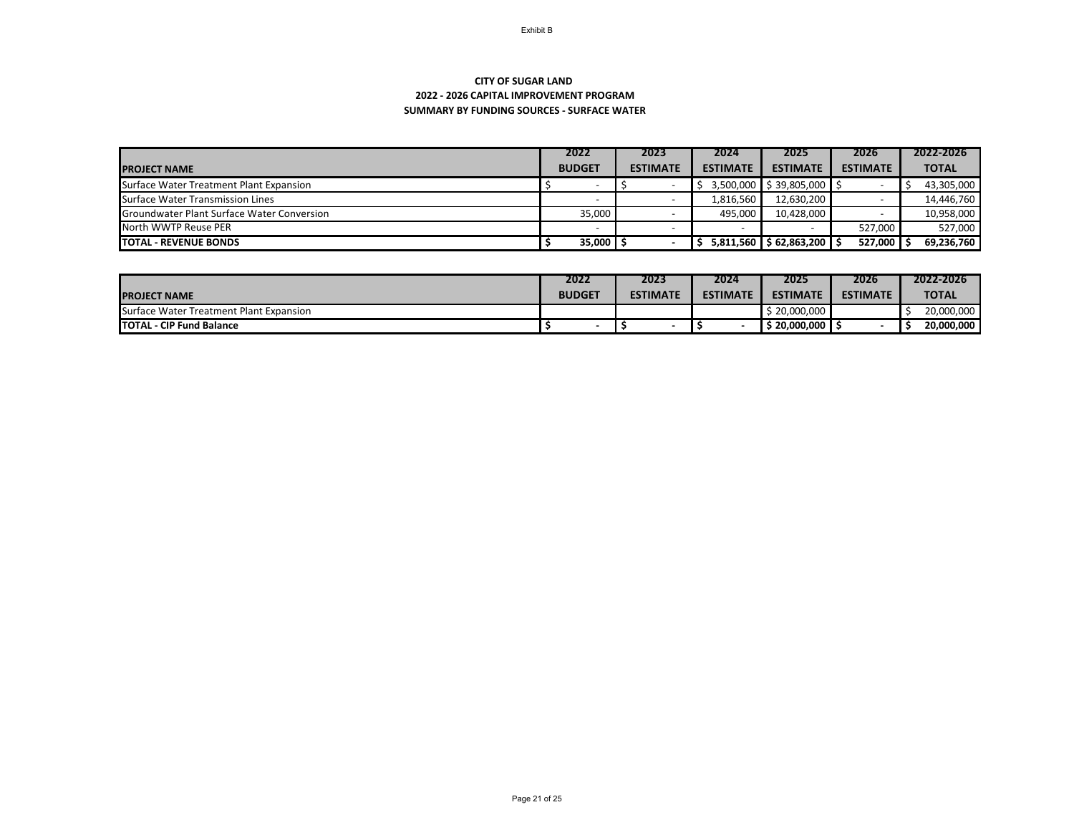## **SUMMARY BY FUNDING SOURCES - SURFACE WATER CITY OF SUGAR LAND 2022 - 2026 CAPITAL IMPROVEMENT PROGRAM**

|                                            | 2022          | 2023            | 2024            | 2025                   | 2026            | 2022-2026    |  |
|--------------------------------------------|---------------|-----------------|-----------------|------------------------|-----------------|--------------|--|
| <b>IPROJECT NAME</b>                       | <b>BUDGET</b> | <b>ESTIMATE</b> | <b>ESTIMATE</b> | <b>ESTIMATE</b>        | <b>ESTIMATE</b> | <b>TOTAL</b> |  |
| Surface Water Treatment Plant Expansion    |               |                 |                 | 3,500,000 \$39,805,000 |                 | 43,305,000   |  |
| Surface Water Transmission Lines           |               |                 | 1,816,560       | 12,630,200             |                 | 14,446,760   |  |
| Groundwater Plant Surface Water Conversion | 35,000        |                 | 495,000         | 10,428,000             |                 | 10,958,000   |  |
| North WWTP Reuse PER                       |               |                 |                 |                        | 527,000         | 527,000      |  |
| <b>TOTAL - REVENUE BONDS</b>               | 35,000        |                 | 5,811,560       | \$62,863,200           | 527,000         | 69,236,760   |  |

|                                         | 2022          | 2023            | 2024            | 2025                     | 2026            | 2022-2026    |
|-----------------------------------------|---------------|-----------------|-----------------|--------------------------|-----------------|--------------|
| <b>IPROJECT NAME</b>                    | <b>BUDGET</b> | <b>ESTIMATE</b> | <b>ESTIMATE</b> | <b>ESTIMATE</b>          | <b>ESTIMATE</b> | <b>TOTAL</b> |
| Surface Water Treatment Plant Expansion |               |                 |                 | $\frac{1}{2}$ 20,000,000 |                 | 20,000,000   |
| <b>TOTAL - CIP Fund Balance</b>         |               |                 |                 | 20,000,000               |                 | 20,000,000   |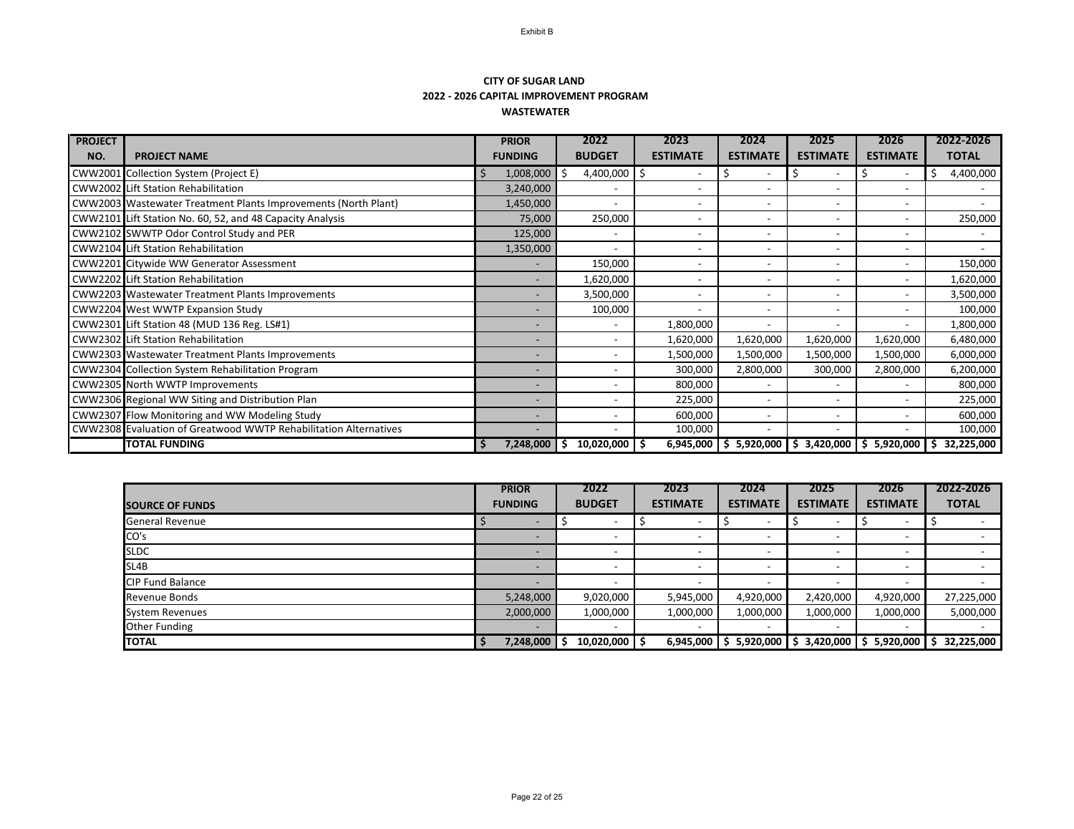## **CITY OF SUGAR LAND 2022 - 2026 CAPITAL IMPROVEMENT PROGRAM WASTEWATER**

| <b>PROJECT</b> |                                                                  | <b>PRIOR</b>   | 2022             | 2023            | 2024                     | 2025                                  | 2026                     | 2022-2026        |
|----------------|------------------------------------------------------------------|----------------|------------------|-----------------|--------------------------|---------------------------------------|--------------------------|------------------|
| NO.            | <b>PROJECT NAME</b>                                              | <b>FUNDING</b> | <b>BUDGET</b>    | <b>ESTIMATE</b> | <b>ESTIMATE</b>          | <b>ESTIMATE</b>                       | <b>ESTIMATE</b>          | <b>TOTAL</b>     |
|                | <b>CWW2001</b> Collection System (Project E)                     | 1,008,000      | 4,400,000<br>-\$ |                 |                          | S                                     | $\overline{\phantom{0}}$ | 4,400,000<br>\$  |
|                | <b>CWW2002</b> Lift Station Rehabilitation                       | 3,240,000      |                  |                 | $\overline{\phantom{a}}$ |                                       |                          |                  |
|                | CWW2003 Wastewater Treatment Plants Improvements (North Plant)   | 1,450,000      |                  |                 | $\overline{\phantom{0}}$ |                                       | $\overline{\phantom{a}}$ |                  |
|                | CWW2101 Lift Station No. 60, 52, and 48 Capacity Analysis        | 75,000         | 250,000          |                 |                          |                                       | $\overline{\phantom{a}}$ | 250,000          |
|                | CWW2102 SWWTP Odor Control Study and PER                         | 125,000        |                  |                 | $\overline{\phantom{a}}$ |                                       | $\overline{\phantom{a}}$ |                  |
|                | CWW2104 Lift Station Rehabilitation                              | 1,350,000      |                  |                 | $\overline{\phantom{0}}$ |                                       |                          |                  |
|                | CWW2201 Citywide WW Generator Assessment                         |                | 150,000          |                 | $\overline{\phantom{0}}$ |                                       |                          | 150,000          |
|                | CWW2202 Lift Station Rehabilitation                              |                | 1,620,000        |                 | $\overline{\phantom{0}}$ |                                       | $\overline{\phantom{0}}$ | 1,620,000        |
|                | <b>CWW2203</b> Wastewater Treatment Plants Improvements          |                | 3,500,000        |                 | $\overline{\phantom{a}}$ |                                       |                          | 3,500,000        |
|                | CWW2204 West WWTP Expansion Study                                |                | 100,000          |                 | $\overline{\phantom{a}}$ | $\overline{\phantom{a}}$              |                          | 100,000          |
|                | CWW2301 Lift Station 48 (MUD 136 Reg. LS#1)                      |                |                  | 1,800,000       |                          |                                       |                          | 1,800,000        |
|                | <b>CWW2302 Lift Station Rehabilitation</b>                       |                |                  | 1,620,000       | 1,620,000                | 1,620,000                             | 1,620,000                | 6,480,000        |
|                | <b>CWW2303</b> Wastewater Treatment Plants Improvements          |                |                  | 1,500,000       | 1,500,000                | 1,500,000                             | 1,500,000                | 6,000,000        |
|                | CWW2304 Collection System Rehabilitation Program                 |                |                  | 300,000         | 2,800,000                | 300,000                               | 2,800,000                | 6,200,000        |
|                | CWW2305 North WWTP Improvements                                  |                |                  | 800,000         | $\overline{\phantom{a}}$ |                                       |                          | 800,000          |
|                | CWW2306 Regional WW Siting and Distribution Plan                 |                |                  | 225,000         | $\overline{\phantom{a}}$ |                                       |                          | 225,000          |
|                | CWW2307 Flow Monitoring and WW Modeling Study                    |                |                  | 600,000         | $\overline{\phantom{a}}$ |                                       |                          | 600,000          |
|                | CWW2308 Evaluation of Greatwood WWTP Rehabilitation Alternatives |                |                  | 100,000         | $\overline{\phantom{a}}$ |                                       |                          | 100,000          |
|                | <b>TOTAL FUNDING</b>                                             | 7,248,000      | 10,020,000<br>-Ş | 6,945,000       | \$                       | $5,920,000$ \$ 3,420,000 \$ 5,920,000 |                          | 32,225,000<br>\$ |

|                         | <b>PRIOR</b>             | 2022                     | 2023                     |                 | 2025            | 2026            | 2022-2026    |  |
|-------------------------|--------------------------|--------------------------|--------------------------|-----------------|-----------------|-----------------|--------------|--|
| <b>SOURCE OF FUNDS</b>  | <b>FUNDING</b>           | <b>BUDGET</b>            | <b>ESTIMATE</b>          | <b>ESTIMATE</b> | <b>ESTIMATE</b> | <b>ESTIMATE</b> | <b>TOTAL</b> |  |
| <b>General Revenue</b>  | $\overline{\phantom{0}}$ |                          |                          |                 |                 |                 |              |  |
| CO's                    |                          |                          |                          |                 |                 |                 |              |  |
| <b>SLDC</b>             |                          |                          |                          |                 |                 |                 |              |  |
| SL4B                    |                          |                          |                          |                 |                 |                 |              |  |
| <b>CIP Fund Balance</b> |                          |                          | $\overline{\phantom{0}}$ |                 |                 |                 |              |  |
| <b>Revenue Bonds</b>    | 5,248,000                | 9,020,000                | 5,945,000                | 4,920,000       | 2,420,000       | 4,920,000       | 27,225,000   |  |
| <b>System Revenues</b>  | 2,000,000                | 1,000,000                | 1,000,000                | 1,000,000       | 1,000,000       | 1,000,000       | 5,000,000    |  |
| Other Funding           | -                        | $\overline{\phantom{0}}$ | $\overline{\phantom{0}}$ |                 |                 |                 |              |  |
| <b>TOTAL</b>            | 7,248,000                | 10,020,000               | 6,945,000                | 5,920,000       | 3,420,000       | 5,920,000       | 32,225,000   |  |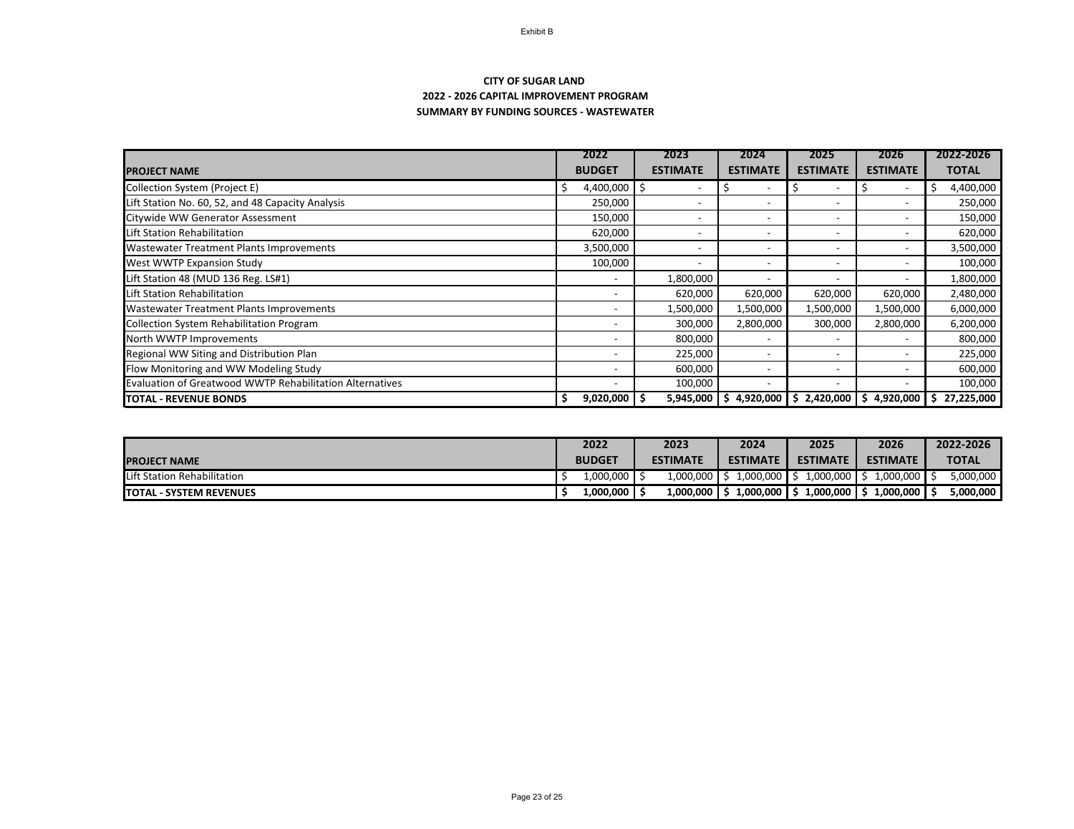## **SUMMARY BY FUNDING SOURCES - WASTEWATER CITY OF SUGAR LAND 2022 - 2026 CAPITAL IMPROVEMENT PROGRAM**

|                                                                 | 2022            | 2023                     | 2024                     | 2025                                                |                 | 2022-2026    |  |
|-----------------------------------------------------------------|-----------------|--------------------------|--------------------------|-----------------------------------------------------|-----------------|--------------|--|
| <b>PROJECT NAME</b>                                             | <b>BUDGET</b>   | <b>ESTIMATE</b>          | <b>ESTIMATE</b>          | <b>ESTIMATE</b>                                     | <b>ESTIMATE</b> | <b>TOTAL</b> |  |
| Collection System (Project E)                                   | 4,400,000       |                          |                          |                                                     |                 | 4,400,000    |  |
| Lift Station No. 60, 52, and 48 Capacity Analysis               | 250,000         |                          |                          |                                                     |                 | 250,000      |  |
| Citywide WW Generator Assessment                                | 150,000         |                          |                          |                                                     |                 | 150,000      |  |
| Lift Station Rehabilitation                                     | 620,000         | $\overline{\phantom{0}}$ | $\overline{\phantom{0}}$ |                                                     |                 | 620,000      |  |
| <b>Wastewater Treatment Plants Improvements</b>                 | 3,500,000       |                          |                          |                                                     |                 | 3,500,000    |  |
| <b>West WWTP Expansion Study</b>                                | 100,000         |                          |                          |                                                     |                 | 100,000      |  |
| Lift Station 48 (MUD 136 Reg. LS#1)                             |                 | 1,800,000                |                          |                                                     |                 | 1,800,000    |  |
| Lift Station Rehabilitation                                     |                 | 620,000                  | 620,000                  | 620,000                                             | 620,000         | 2,480,000    |  |
| <b>Wastewater Treatment Plants Improvements</b>                 |                 | 1,500,000                | 1,500,000                | 1,500,000                                           | 1,500,000       | 6,000,000    |  |
| <b>Collection System Rehabilitation Program</b>                 |                 | 300,000                  | 2,800,000                | 300,000                                             | 2,800,000       | 6,200,000    |  |
| North WWTP Improvements                                         |                 | 800,000                  |                          |                                                     |                 | 800,000      |  |
| Regional WW Siting and Distribution Plan                        |                 | 225,000                  |                          |                                                     |                 | 225,000      |  |
| Flow Monitoring and WW Modeling Study                           |                 | 600,000                  |                          |                                                     |                 | 600,000      |  |
| <b>Evaluation of Greatwood WWTP Rehabilitation Alternatives</b> |                 | 100,000                  |                          |                                                     |                 | 100,000      |  |
| <b>TOTAL - REVENUE BONDS</b>                                    | 9,020,000<br>-S |                          | $5,945,000$ \$ 4,920,000 | $\frac{1}{2}$ , 2,420,000 $\frac{1}{2}$ , 4,920,000 |                 | 27,225,000   |  |

|                                | 2022 |               | 2023 |                 | 2024 |                 | 2025 |                 | 2026 |                 | 2022-2026 |              |
|--------------------------------|------|---------------|------|-----------------|------|-----------------|------|-----------------|------|-----------------|-----------|--------------|
| <b>IPROJECT NAME</b>           |      | <b>BUDGET</b> |      | <b>ESTIMATE</b> |      | <b>ESTIMATE</b> |      | <b>ESTIMATE</b> |      | <b>ESTIMATE</b> |           | <b>TOTAL</b> |
| Lift Station Rehabilitation    |      | 1,000,000     |      | 1,000,000       |      | 1,000,000       |      | 1,000,000       |      | 1,000,000       |           | 5,000,000    |
| <b>TOTAL - SYSTEM REVENUES</b> |      | 1,000,000     |      | 1,000,000       |      | 1,000,000       |      | 1,000,000       |      | 1,000,000       |           | 5,000,000    |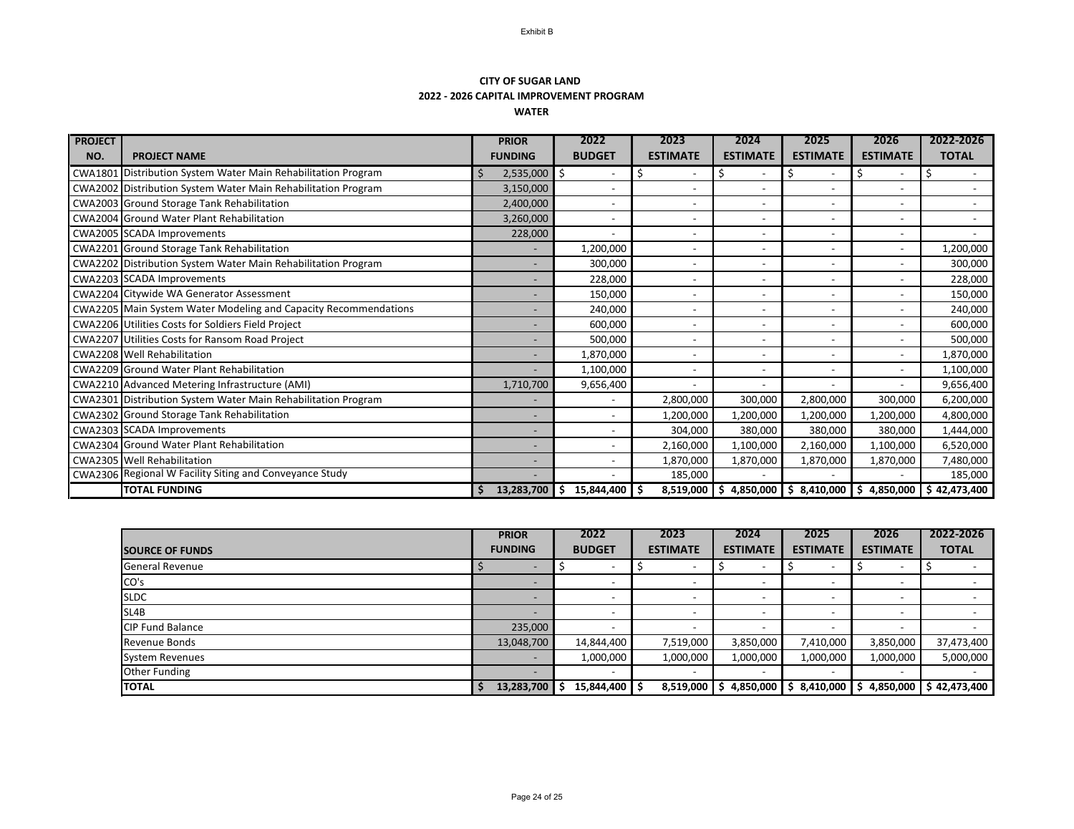## **CITY OF SUGAR LAND 2022 - 2026 CAPITAL IMPROVEMENT PROGRAM WATER**

| <b>PROJECT</b> |                                                                        | <b>PRIOR</b>   | 2022                     | 2023                     | 2024                     | 2025            | 2026                     | 2022-2026                                                          |
|----------------|------------------------------------------------------------------------|----------------|--------------------------|--------------------------|--------------------------|-----------------|--------------------------|--------------------------------------------------------------------|
| NO.            | <b>PROJECT NAME</b>                                                    | <b>FUNDING</b> | <b>BUDGET</b>            | <b>ESTIMATE</b>          | <b>ESTIMATE</b>          | <b>ESTIMATE</b> | <b>ESTIMATE</b>          | <b>TOTAL</b>                                                       |
|                | CWA1801 Distribution System Water Main Rehabilitation Program          | 2,535,000      | \$                       | Ś                        |                          | \$              |                          |                                                                    |
|                | <b>CWA2002</b> Distribution System Water Main Rehabilitation Program   | 3,150,000      |                          |                          |                          |                 |                          |                                                                    |
|                | <b>CWA2003</b> Ground Storage Tank Rehabilitation                      | 2,400,000      | $\overline{\phantom{0}}$ | $\overline{\phantom{a}}$ | $\overline{\phantom{a}}$ |                 | $\blacksquare$           |                                                                    |
|                | <b>CWA2004</b> Ground Water Plant Rehabilitation                       | 3,260,000      | -                        | $\overline{\phantom{a}}$ | $\overline{\phantom{a}}$ |                 | $\blacksquare$           |                                                                    |
|                | CWA2005 SCADA Improvements                                             | 228,000        |                          | $\overline{\phantom{a}}$ | $\overline{\phantom{a}}$ |                 | $\blacksquare$           |                                                                    |
|                | CWA2201 Ground Storage Tank Rehabilitation                             |                | 1,200,000                | $\overline{\phantom{0}}$ | $\overline{\phantom{a}}$ |                 |                          | 1,200,000                                                          |
|                | <b>CWA2202</b> Distribution System Water Main Rehabilitation Program   |                | 300,000                  |                          | $\overline{\phantom{a}}$ |                 |                          | 300,000                                                            |
|                | <b>CWA2203 SCADA Improvements</b>                                      |                | 228,000                  |                          | $\overline{\phantom{0}}$ |                 |                          | 228,000                                                            |
|                | <b>CWA2204 Citywide WA Generator Assessment</b>                        |                | 150,000                  | $\overline{\phantom{0}}$ | $\overline{\phantom{a}}$ |                 |                          | 150,000                                                            |
|                | <b>CWA2205</b> Main System Water Modeling and Capacity Recommendations |                | 240,000                  | $\overline{\phantom{a}}$ | $\overline{\phantom{0}}$ |                 | $\overline{\phantom{a}}$ | 240,000                                                            |
|                | <b>CWA2206</b> Utilities Costs for Soldiers Field Project              |                | 600,000                  | $\overline{\phantom{a}}$ | $\overline{\phantom{a}}$ |                 | $\overline{\phantom{a}}$ | 600,000                                                            |
|                | <b>CWA2207</b> Utilities Costs for Ransom Road Project                 |                | 500,000                  | $\overline{\phantom{a}}$ | $\overline{\phantom{a}}$ |                 | $\overline{\phantom{a}}$ | 500,000                                                            |
|                | <b>CWA2208</b> Well Rehabilitation                                     |                | 1,870,000                | $\overline{\phantom{0}}$ | $\overline{\phantom{a}}$ |                 | $\overline{a}$           | 1,870,000                                                          |
|                | <b>CWA2209</b> Ground Water Plant Rehabilitation                       |                | 1,100,000                | $\overline{\phantom{a}}$ | $\overline{\phantom{a}}$ |                 |                          | 1,100,000                                                          |
|                | CWA2210 Advanced Metering Infrastructure (AMI)                         | 1,710,700      | 9,656,400                |                          |                          |                 |                          | 9,656,400                                                          |
|                | <b>CWA2301</b> Distribution System Water Main Rehabilitation Program   |                |                          | 2,800,000                | 300,000                  | 2,800,000       | 300,000                  | 6,200,000                                                          |
|                | CWA2302 Ground Storage Tank Rehabilitation                             |                |                          | 1,200,000                | 1,200,000                | 1,200,000       | 1,200,000                | 4,800,000                                                          |
|                | CWA2303 SCADA Improvements                                             |                |                          | 304,000                  | 380,000                  | 380,000         | 380,000                  | 1,444,000                                                          |
|                | <b>CWA2304</b> Ground Water Plant Rehabilitation                       |                |                          | 2,160,000                | 1,100,000                | 2,160,000       | 1,100,000                | 6,520,000                                                          |
|                | <b>CWA2305</b> Well Rehabilitation                                     |                |                          | 1,870,000                | 1,870,000                | 1,870,000       | 1,870,000                | 7,480,000                                                          |
|                | CWA2306 Regional W Facility Siting and Conveyance Study                |                |                          | 185,000                  |                          |                 |                          | 185,000                                                            |
|                | <b>TOTAL FUNDING</b>                                                   | \$             | 13,283,700 \$ 15,844,400 |                          |                          |                 |                          | 8,519,000   \$4,850,000   \$8,410,000   \$4,850,000   \$42,473,400 |

|                         | <b>PRIOR</b>   | 2022<br>2023             |                          | 2024<br>2025             |                          | 2026                     | 2022-2026    |  |
|-------------------------|----------------|--------------------------|--------------------------|--------------------------|--------------------------|--------------------------|--------------|--|
| <b>SOURCE OF FUNDS</b>  | <b>FUNDING</b> | <b>BUDGET</b>            | <b>ESTIMATE</b>          | <b>ESTIMATE</b>          | <b>ESTIMATE</b>          | <b>ESTIMATE</b>          | <b>TOTAL</b> |  |
| <b>General Revenue</b>  |                | $\overline{\phantom{0}}$ | $\sim$                   | $\overline{\phantom{0}}$ |                          |                          |              |  |
| CO's                    |                | $\overline{\phantom{a}}$ | $\overline{\phantom{0}}$ | $\overline{\phantom{0}}$ | $\overline{\phantom{0}}$ | $\overline{\phantom{0}}$ |              |  |
| <b>SLDC</b>             |                | $\overline{\phantom{a}}$ |                          | $\overline{\phantom{0}}$ |                          |                          |              |  |
| SL4B                    |                | $\overline{\phantom{a}}$ |                          | $\overline{\phantom{0}}$ |                          |                          |              |  |
| <b>CIP Fund Balance</b> | 235,000        |                          |                          | $\overline{\phantom{0}}$ |                          |                          |              |  |
| <b>Revenue Bonds</b>    | 13,048,700     | 14,844,400               | 7,519,000                | 3,850,000                | 7,410,000                | 3,850,000                | 37,473,400   |  |
| <b>System Revenues</b>  |                | 1,000,000                | 1,000,000                | 1,000,000                | 1,000,000                | 1,000,000                | 5,000,000    |  |
| Other Funding           |                | $\overline{\phantom{0}}$ | $\overline{\phantom{0}}$ | $\overline{\phantom{0}}$ | $\overline{\phantom{0}}$ |                          |              |  |
| <b>TOTAL</b>            | 13,283,700     | 15,844,400               | $8,519,000$ \$           | 4,850,000                | 8,410,000<br>S.          | 4,850,000                | \$42,473,400 |  |